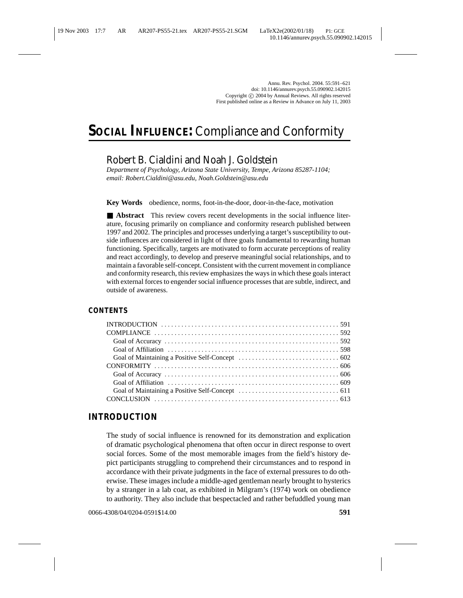# **SOCIAL INFLUENCE:** Compliance and Conformity

## Robert B. Cialdini and Noah J. Goldstein

*Department of Psychology, Arizona State University, Tempe, Arizona 85287-1104; email: Robert.Cialdini@asu.edu, Noah.Goldstein@asu.edu*

**Key Words** obedience, norms, foot-in-the-door, door-in-the-face, motivation

■ **Abstract** This review covers recent developments in the social influence literature, focusing primarily on compliance and conformity research published between 1997 and 2002. The principles and processes underlying a target's susceptibility to outside influences are considered in light of three goals fundamental to rewarding human functioning. Specifically, targets are motivated to form accurate perceptions of reality and react accordingly, to develop and preserve meaningful social relationships, and to maintain a favorable self-concept. Consistent with the current movement in compliance and conformity research, this review emphasizes the ways in which these goals interact with external forces to engender social influence processes that are subtle, indirect, and outside of awareness.

#### **CONTENTS**

### **INTRODUCTION**

The study of social influence is renowned for its demonstration and explication of dramatic psychological phenomena that often occur in direct response to overt social forces. Some of the most memorable images from the field's history depict participants struggling to comprehend their circumstances and to respond in accordance with their private judgments in the face of external pressures to do otherwise. These images include a middle-aged gentleman nearly brought to hysterics by a stranger in a lab coat, as exhibited in Milgram's (1974) work on obedience to authority. They also include that bespectacled and rather befuddled young man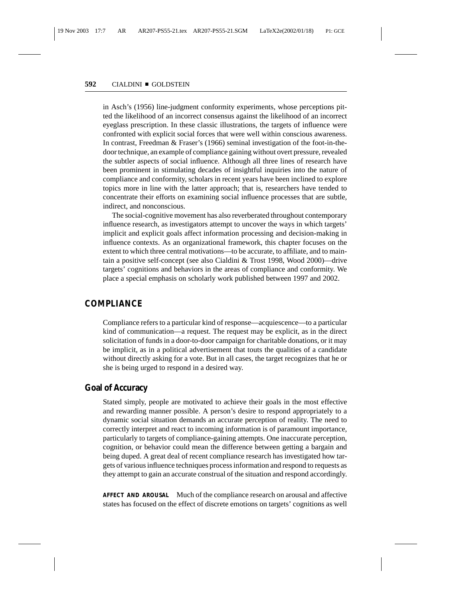in Asch's (1956) line-judgment conformity experiments, whose perceptions pitted the likelihood of an incorrect consensus against the likelihood of an incorrect eyeglass prescription. In these classic illustrations, the targets of influence were confronted with explicit social forces that were well within conscious awareness. In contrast, Freedman & Fraser's (1966) seminal investigation of the foot-in-thedoor technique, an example of compliance gaining without overt pressure, revealed the subtler aspects of social influence. Although all three lines of research have been prominent in stimulating decades of insightful inquiries into the nature of compliance and conformity, scholars in recent years have been inclined to explore topics more in line with the latter approach; that is, researchers have tended to concentrate their efforts on examining social influence processes that are subtle, indirect, and nonconscious.

The social-cognitive movement has also reverberated throughout contemporary influence research, as investigators attempt to uncover the ways in which targets' implicit and explicit goals affect information processing and decision-making in influence contexts. As an organizational framework, this chapter focuses on the extent to which three central motivations—to be accurate, to affiliate, and to maintain a positive self-concept (see also Cialdini & Trost 1998, Wood 2000)—drive targets' cognitions and behaviors in the areas of compliance and conformity. We place a special emphasis on scholarly work published between 1997 and 2002.

#### **COMPLIANCE**

Compliance refers to a particular kind of response—acquiescence—to a particular kind of communication—a request. The request may be explicit, as in the direct solicitation of funds in a door-to-door campaign for charitable donations, or it may be implicit, as in a political advertisement that touts the qualities of a candidate without directly asking for a vote. But in all cases, the target recognizes that he or she is being urged to respond in a desired way.

## **Goal of Accuracy**

Stated simply, people are motivated to achieve their goals in the most effective and rewarding manner possible. A person's desire to respond appropriately to a dynamic social situation demands an accurate perception of reality. The need to correctly interpret and react to incoming information is of paramount importance, particularly to targets of compliance-gaining attempts. One inaccurate perception, cognition, or behavior could mean the difference between getting a bargain and being duped. A great deal of recent compliance research has investigated how targets of various influence techniques process information and respond to requests as they attempt to gain an accurate construal of the situation and respond accordingly.

**AFFECT AND AROUSAL** Much of the compliance research on arousal and affective states has focused on the effect of discrete emotions on targets' cognitions as well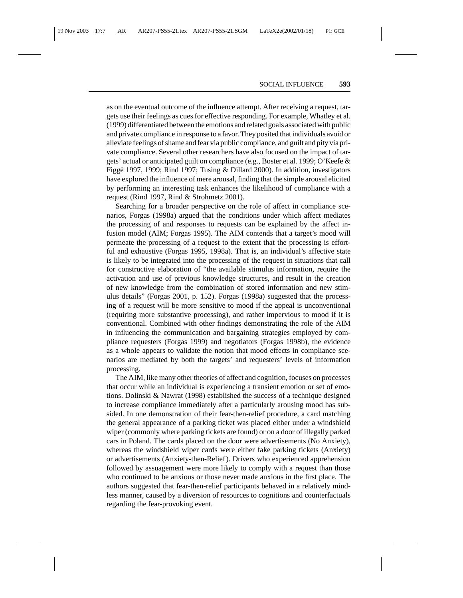as on the eventual outcome of the influence attempt. After receiving a request, targets use their feelings as cues for effective responding. For example, Whatley et al. (1999) differentiated between the emotions and related goals associated with public and private compliance in response to a favor. They posited that individuals avoid or alleviate feelings of shame and fear via public compliance, and guilt and pity via private compliance. Several other researchers have also focused on the impact of targets' actual or anticipated guilt on compliance (e.g., Boster et al. 1999; O'Keefe & Figgé 1997, 1999; Rind 1997; Tusing & Dillard 2000). In addition, investigators have explored the influence of mere arousal, finding that the simple arousal elicited by performing an interesting task enhances the likelihood of compliance with a request (Rind 1997, Rind & Strohmetz 2001).

Searching for a broader perspective on the role of affect in compliance scenarios, Forgas (1998a) argued that the conditions under which affect mediates the processing of and responses to requests can be explained by the affect infusion model (AIM; Forgas 1995). The AIM contends that a target's mood will permeate the processing of a request to the extent that the processing is effortful and exhaustive (Forgas 1995, 1998a). That is, an individual's affective state is likely to be integrated into the processing of the request in situations that call for constructive elaboration of "the available stimulus information, require the activation and use of previous knowledge structures, and result in the creation of new knowledge from the combination of stored information and new stimulus details" (Forgas 2001, p. 152). Forgas (1998a) suggested that the processing of a request will be more sensitive to mood if the appeal is unconventional (requiring more substantive processing), and rather impervious to mood if it is conventional. Combined with other findings demonstrating the role of the AIM in influencing the communication and bargaining strategies employed by compliance requesters (Forgas 1999) and negotiators (Forgas 1998b), the evidence as a whole appears to validate the notion that mood effects in compliance scenarios are mediated by both the targets' and requesters' levels of information processing.

The AIM, like many other theories of affect and cognition, focuses on processes that occur while an individual is experiencing a transient emotion or set of emotions. Dolinski & Nawrat (1998) established the success of a technique designed to increase compliance immediately after a particularly arousing mood has subsided. In one demonstration of their fear-then-relief procedure, a card matching the general appearance of a parking ticket was placed either under a windshield wiper (commonly where parking tickets are found) or on a door of illegally parked cars in Poland. The cards placed on the door were advertisements (No Anxiety), whereas the windshield wiper cards were either fake parking tickets (Anxiety) or advertisements (Anxiety-then-Relief). Drivers who experienced apprehension followed by assuagement were more likely to comply with a request than those who continued to be anxious or those never made anxious in the first place. The authors suggested that fear-then-relief participants behaved in a relatively mindless manner, caused by a diversion of resources to cognitions and counterfactuals regarding the fear-provoking event.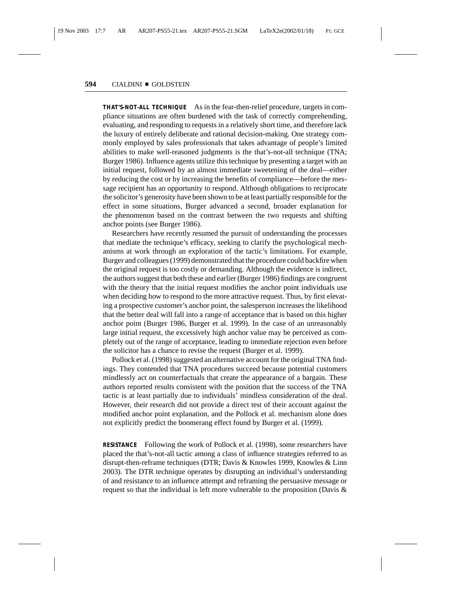**THAT'S-NOT-ALL TECHNIQUE** As in the fear-then-relief procedure, targets in compliance situations are often burdened with the task of correctly comprehending, evaluating, and responding to requests in a relatively short time, and therefore lack the luxury of entirely deliberate and rational decision-making. One strategy commonly employed by sales professionals that takes advantage of people's limited abilities to make well-reasoned judgments is the that's-not-all technique (TNA; Burger 1986). Influence agents utilize this technique by presenting a target with an initial request, followed by an almost immediate sweetening of the deal—either by reducing the cost or by increasing the benefits of compliance—before the message recipient has an opportunity to respond. Although obligations to reciprocate the solicitor's generosity have been shown to be at least partially responsible for the effect in some situations, Burger advanced a second, broader explanation for the phenomenon based on the contrast between the two requests and shifting anchor points (see Burger 1986).

Researchers have recently resumed the pursuit of understanding the processes that mediate the technique's efficacy, seeking to clarify the psychological mechanisms at work through an exploration of the tactic's limitations. For example, Burger and colleagues (1999) demonstrated that the procedure could backfire when the original request is too costly or demanding. Although the evidence is indirect, the authors suggest that both these and earlier (Burger 1986) findings are congruent with the theory that the initial request modifies the anchor point individuals use when deciding how to respond to the more attractive request. Thus, by first elevating a prospective customer's anchor point, the salesperson increases the likelihood that the better deal will fall into a range of acceptance that is based on this higher anchor point (Burger 1986, Burger et al. 1999). In the case of an unreasonably large initial request, the excessively high anchor value may be perceived as completely out of the range of acceptance, leading to immediate rejection even before the solicitor has a chance to revise the request (Burger et al. 1999).

Pollock et al. (1998) suggested an alternative account for the original TNA findings. They contended that TNA procedures succeed because potential customers mindlessly act on counterfactuals that create the appearance of a bargain. These authors reported results consistent with the position that the success of the TNA tactic is at least partially due to individuals' mindless consideration of the deal. However, their research did not provide a direct test of their account against the modified anchor point explanation, and the Pollock et al. mechanism alone does not explicitly predict the boomerang effect found by Burger et al. (1999).

**RESISTANCE** Following the work of Pollock et al. (1998), some researchers have placed the that's-not-all tactic among a class of influence strategies referred to as disrupt-then-reframe techniques (DTR; Davis & Knowles 1999, Knowles & Linn 2003). The DTR technique operates by disrupting an individual's understanding of and resistance to an influence attempt and reframing the persuasive message or request so that the individual is left more vulnerable to the proposition (Davis &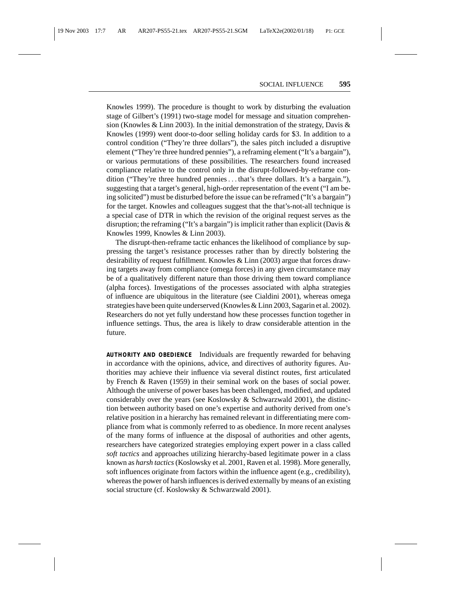Knowles 1999). The procedure is thought to work by disturbing the evaluation stage of Gilbert's (1991) two-stage model for message and situation comprehension (Knowles & Linn 2003). In the initial demonstration of the strategy, Davis & Knowles (1999) went door-to-door selling holiday cards for \$3. In addition to a control condition ("They're three dollars"), the sales pitch included a disruptive element ("They're three hundred pennies"), a reframing element ("It's a bargain"), or various permutations of these possibilities. The researchers found increased compliance relative to the control only in the disrupt-followed-by-reframe condition ("They're three hundred pennies... that's three dollars. It's a bargain."), suggesting that a target's general, high-order representation of the event ("I am being solicited") must be disturbed before the issue can be reframed ("It's a bargain") for the target. Knowles and colleagues suggest that the that's-not-all technique is a special case of DTR in which the revision of the original request serves as the disruption; the reframing ("It's a bargain") is implicit rather than explicit (Davis  $\&$ Knowles 1999, Knowles & Linn 2003).

The disrupt-then-reframe tactic enhances the likelihood of compliance by suppressing the target's resistance processes rather than by directly bolstering the desirability of request fulfillment. Knowles & Linn (2003) argue that forces drawing targets away from compliance (omega forces) in any given circumstance may be of a qualitatively different nature than those driving them toward compliance (alpha forces). Investigations of the processes associated with alpha strategies of influence are ubiquitous in the literature (see Cialdini 2001), whereas omega strategies have been quite underserved (Knowles & Linn 2003, Sagarin et al. 2002). Researchers do not yet fully understand how these processes function together in influence settings. Thus, the area is likely to draw considerable attention in the future.

**AUTHORITY AND OBEDIENCE** Individuals are frequently rewarded for behaving in accordance with the opinions, advice, and directives of authority figures. Authorities may achieve their influence via several distinct routes, first articulated by French & Raven (1959) in their seminal work on the bases of social power. Although the universe of power bases has been challenged, modified, and updated considerably over the years (see Koslowsky  $&$  Schwarzwald 2001), the distinction between authority based on one's expertise and authority derived from one's relative position in a hierarchy has remained relevant in differentiating mere compliance from what is commonly referred to as obedience. In more recent analyses of the many forms of influence at the disposal of authorities and other agents, researchers have categorized strategies employing expert power in a class called *soft tactics* and approaches utilizing hierarchy-based legitimate power in a class known as *harsh tactics*(Koslowsky et al. 2001, Raven et al. 1998). More generally, soft influences originate from factors within the influence agent (e.g., credibility), whereas the power of harsh influences is derived externally by means of an existing social structure (cf. Koslowsky & Schwarzwald 2001).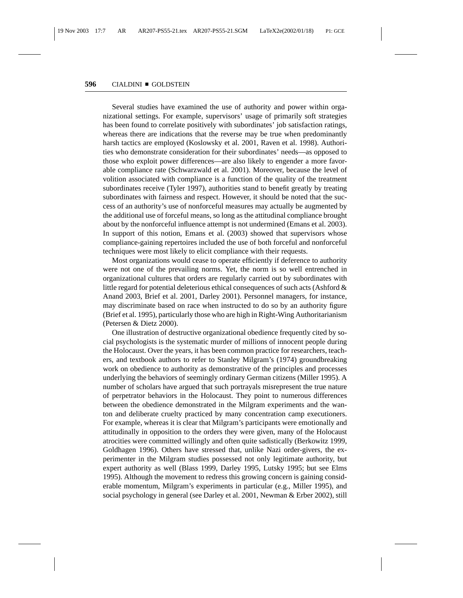Several studies have examined the use of authority and power within organizational settings. For example, supervisors' usage of primarily soft strategies has been found to correlate positively with subordinates' job satisfaction ratings, whereas there are indications that the reverse may be true when predominantly harsh tactics are employed (Koslowsky et al. 2001, Raven et al. 1998). Authorities who demonstrate consideration for their subordinates' needs—as opposed to those who exploit power differences—are also likely to engender a more favorable compliance rate (Schwarzwald et al. 2001). Moreover, because the level of volition associated with compliance is a function of the quality of the treatment subordinates receive (Tyler 1997), authorities stand to benefit greatly by treating subordinates with fairness and respect. However, it should be noted that the success of an authority's use of nonforceful measures may actually be augmented by the additional use of forceful means, so long as the attitudinal compliance brought about by the nonforceful influence attempt is not undermined (Emans et al. 2003). In support of this notion, Emans et al. (2003) showed that supervisors whose compliance-gaining repertoires included the use of both forceful and nonforceful techniques were most likely to elicit compliance with their requests.

Most organizations would cease to operate efficiently if deference to authority were not one of the prevailing norms. Yet, the norm is so well entrenched in organizational cultures that orders are regularly carried out by subordinates with little regard for potential deleterious ethical consequences of such acts (Ashford & Anand 2003, Brief et al. 2001, Darley 2001). Personnel managers, for instance, may discriminate based on race when instructed to do so by an authority figure (Brief et al. 1995), particularly those who are high in Right-Wing Authoritarianism (Petersen & Dietz 2000).

One illustration of destructive organizational obedience frequently cited by social psychologists is the systematic murder of millions of innocent people during the Holocaust. Over the years, it has been common practice for researchers, teachers, and textbook authors to refer to Stanley Milgram's (1974) groundbreaking work on obedience to authority as demonstrative of the principles and processes underlying the behaviors of seemingly ordinary German citizens (Miller 1995). A number of scholars have argued that such portrayals misrepresent the true nature of perpetrator behaviors in the Holocaust. They point to numerous differences between the obedience demonstrated in the Milgram experiments and the wanton and deliberate cruelty practiced by many concentration camp executioners. For example, whereas it is clear that Milgram's participants were emotionally and attitudinally in opposition to the orders they were given, many of the Holocaust atrocities were committed willingly and often quite sadistically (Berkowitz 1999, Goldhagen 1996). Others have stressed that, unlike Nazi order-givers, the experimenter in the Milgram studies possessed not only legitimate authority, but expert authority as well (Blass 1999, Darley 1995, Lutsky 1995; but see Elms 1995). Although the movement to redress this growing concern is gaining considerable momentum, Milgram's experiments in particular (e.g., Miller 1995), and social psychology in general (see Darley et al. 2001, Newman & Erber 2002), still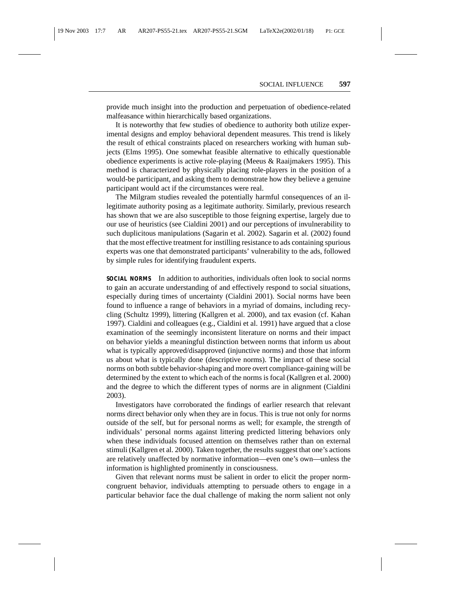provide much insight into the production and perpetuation of obedience-related malfeasance within hierarchically based organizations.

It is noteworthy that few studies of obedience to authority both utilize experimental designs and employ behavioral dependent measures. This trend is likely the result of ethical constraints placed on researchers working with human subjects (Elms 1995). One somewhat feasible alternative to ethically questionable obedience experiments is active role-playing (Meeus & Raaijmakers 1995). This method is characterized by physically placing role-players in the position of a would-be participant, and asking them to demonstrate how they believe a genuine participant would act if the circumstances were real.

The Milgram studies revealed the potentially harmful consequences of an illegitimate authority posing as a legitimate authority. Similarly, previous research has shown that we are also susceptible to those feigning expertise, largely due to our use of heuristics (see Cialdini 2001) and our perceptions of invulnerability to such duplicitous manipulations (Sagarin et al. 2002). Sagarin et al. (2002) found that the most effective treatment for instilling resistance to ads containing spurious experts was one that demonstrated participants' vulnerability to the ads, followed by simple rules for identifying fraudulent experts.

**SOCIAL NORMS** In addition to authorities, individuals often look to social norms to gain an accurate understanding of and effectively respond to social situations, especially during times of uncertainty (Cialdini 2001). Social norms have been found to influence a range of behaviors in a myriad of domains, including recycling (Schultz 1999), littering (Kallgren et al. 2000), and tax evasion (cf. Kahan 1997). Cialdini and colleagues (e.g., Cialdini et al. 1991) have argued that a close examination of the seemingly inconsistent literature on norms and their impact on behavior yields a meaningful distinction between norms that inform us about what is typically approved/disapproved (injunctive norms) and those that inform us about what is typically done (descriptive norms). The impact of these social norms on both subtle behavior-shaping and more overt compliance-gaining will be determined by the extent to which each of the norms is focal (Kallgren et al. 2000) and the degree to which the different types of norms are in alignment (Cialdini 2003).

Investigators have corroborated the findings of earlier research that relevant norms direct behavior only when they are in focus. This is true not only for norms outside of the self, but for personal norms as well; for example, the strength of individuals' personal norms against littering predicted littering behaviors only when these individuals focused attention on themselves rather than on external stimuli (Kallgren et al. 2000). Taken together, the results suggest that one's actions are relatively unaffected by normative information—even one's own—unless the information is highlighted prominently in consciousness.

Given that relevant norms must be salient in order to elicit the proper normcongruent behavior, individuals attempting to persuade others to engage in a particular behavior face the dual challenge of making the norm salient not only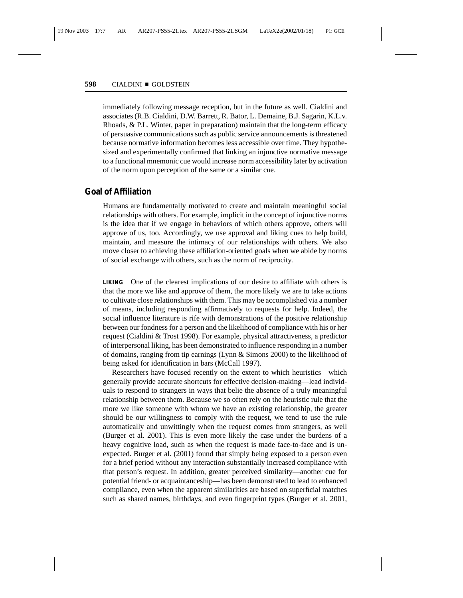immediately following message reception, but in the future as well. Cialdini and associates (R.B. Cialdini, D.W. Barrett, R. Bator, L. Demaine, B.J. Sagarin, K.L.v. Rhoads, & P.L. Winter, paper in preparation) maintain that the long-term efficacy of persuasive communications such as public service announcements is threatened because normative information becomes less accessible over time. They hypothesized and experimentally confirmed that linking an injunctive normative message to a functional mnemonic cue would increase norm accessibility later by activation of the norm upon perception of the same or a similar cue.

#### **Goal of Affiliation**

Humans are fundamentally motivated to create and maintain meaningful social relationships with others. For example, implicit in the concept of injunctive norms is the idea that if we engage in behaviors of which others approve, others will approve of us, too. Accordingly, we use approval and liking cues to help build, maintain, and measure the intimacy of our relationships with others. We also move closer to achieving these affiliation-oriented goals when we abide by norms of social exchange with others, such as the norm of reciprocity.

**LIKING** One of the clearest implications of our desire to affiliate with others is that the more we like and approve of them, the more likely we are to take actions to cultivate close relationships with them. This may be accomplished via a number of means, including responding affirmatively to requests for help. Indeed, the social influence literature is rife with demonstrations of the positive relationship between our fondness for a person and the likelihood of compliance with his or her request (Cialdini & Trost 1998). For example, physical attractiveness, a predictor of interpersonal liking, has been demonstrated to influence responding in a number of domains, ranging from tip earnings (Lynn & Simons 2000) to the likelihood of being asked for identification in bars (McCall 1997).

Researchers have focused recently on the extent to which heuristics—which generally provide accurate shortcuts for effective decision-making—lead individuals to respond to strangers in ways that belie the absence of a truly meaningful relationship between them. Because we so often rely on the heuristic rule that the more we like someone with whom we have an existing relationship, the greater should be our willingness to comply with the request, we tend to use the rule automatically and unwittingly when the request comes from strangers, as well (Burger et al. 2001). This is even more likely the case under the burdens of a heavy cognitive load, such as when the request is made face-to-face and is unexpected. Burger et al. (2001) found that simply being exposed to a person even for a brief period without any interaction substantially increased compliance with that person's request. In addition, greater perceived similarity—another cue for potential friend- or acquaintanceship—has been demonstrated to lead to enhanced compliance, even when the apparent similarities are based on superficial matches such as shared names, birthdays, and even fingerprint types (Burger et al. 2001,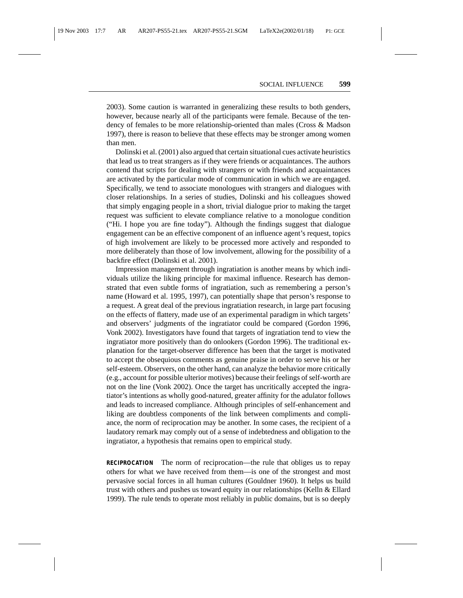2003). Some caution is warranted in generalizing these results to both genders, however, because nearly all of the participants were female. Because of the tendency of females to be more relationship-oriented than males (Cross & Madson 1997), there is reason to believe that these effects may be stronger among women than men.

Dolinski et al. (2001) also argued that certain situational cues activate heuristics that lead us to treat strangers as if they were friends or acquaintances. The authors contend that scripts for dealing with strangers or with friends and acquaintances are activated by the particular mode of communication in which we are engaged. Specifically, we tend to associate monologues with strangers and dialogues with closer relationships. In a series of studies, Dolinski and his colleagues showed that simply engaging people in a short, trivial dialogue prior to making the target request was sufficient to elevate compliance relative to a monologue condition ("Hi. I hope you are fine today"). Although the findings suggest that dialogue engagement can be an effective component of an influence agent's request, topics of high involvement are likely to be processed more actively and responded to more deliberately than those of low involvement, allowing for the possibility of a backfire effect (Dolinski et al. 2001).

Impression management through ingratiation is another means by which individuals utilize the liking principle for maximal influence. Research has demonstrated that even subtle forms of ingratiation, such as remembering a person's name (Howard et al. 1995, 1997), can potentially shape that person's response to a request. A great deal of the previous ingratiation research, in large part focusing on the effects of flattery, made use of an experimental paradigm in which targets' and observers' judgments of the ingratiator could be compared (Gordon 1996, Vonk 2002). Investigators have found that targets of ingratiation tend to view the ingratiator more positively than do onlookers (Gordon 1996). The traditional explanation for the target-observer difference has been that the target is motivated to accept the obsequious comments as genuine praise in order to serve his or her self-esteem. Observers, on the other hand, can analyze the behavior more critically (e.g., account for possible ulterior motives) because their feelings of self-worth are not on the line (Vonk 2002). Once the target has uncritically accepted the ingratiator's intentions as wholly good-natured, greater affinity for the adulator follows and leads to increased compliance. Although principles of self-enhancement and liking are doubtless components of the link between compliments and compliance, the norm of reciprocation may be another. In some cases, the recipient of a laudatory remark may comply out of a sense of indebtedness and obligation to the ingratiator, a hypothesis that remains open to empirical study.

**RECIPROCATION** The norm of reciprocation—the rule that obliges us to repay others for what we have received from them—is one of the strongest and most pervasive social forces in all human cultures (Gouldner 1960). It helps us build trust with others and pushes us toward equity in our relationships (Kelln & Ellard 1999). The rule tends to operate most reliably in public domains, but is so deeply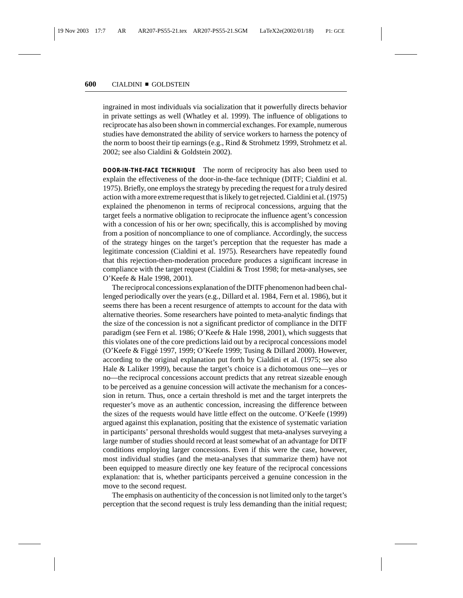ingrained in most individuals via socialization that it powerfully directs behavior in private settings as well (Whatley et al. 1999). The influence of obligations to reciprocate has also been shown in commercial exchanges. For example, numerous studies have demonstrated the ability of service workers to harness the potency of the norm to boost their tip earnings (e.g., Rind & Strohmetz 1999, Strohmetz et al. 2002; see also Cialdini & Goldstein 2002).

**DOOR-IN-THE-FACE TECHNIQUE** The norm of reciprocity has also been used to explain the effectiveness of the door-in-the-face technique (DITF; Cialdini et al. 1975). Briefly, one employs the strategy by preceding the request for a truly desired action with a more extreme request that is likely to get rejected. Cialdini et al. (1975) explained the phenomenon in terms of reciprocal concessions, arguing that the target feels a normative obligation to reciprocate the influence agent's concession with a concession of his or her own; specifically, this is accomplished by moving from a position of noncompliance to one of compliance. Accordingly, the success of the strategy hinges on the target's perception that the requester has made a legitimate concession (Cialdini et al. 1975). Researchers have repeatedly found that this rejection-then-moderation procedure produces a significant increase in compliance with the target request (Cialdini & Trost 1998; for meta-analyses, see O'Keefe & Hale 1998, 2001).

The reciprocal concessions explanation of the DITF phenomenon had been challenged periodically over the years (e.g., Dillard et al. 1984, Fern et al. 1986), but it seems there has been a recent resurgence of attempts to account for the data with alternative theories. Some researchers have pointed to meta-analytic findings that the size of the concession is not a significant predictor of compliance in the DITF paradigm (see Fern et al. 1986; O'Keefe & Hale 1998, 2001), which suggests that this violates one of the core predictions laid out by a reciprocal concessions model (O'Keefe & Figgé 1997, 1999; O'Keefe 1999; Tusing & Dillard 2000). However, according to the original explanation put forth by Cialdini et al. (1975; see also Hale & Laliker 1999), because the target's choice is a dichotomous one—yes or no—the reciprocal concessions account predicts that any retreat sizeable enough to be perceived as a genuine concession will activate the mechanism for a concession in return. Thus, once a certain threshold is met and the target interprets the requester's move as an authentic concession, increasing the difference between the sizes of the requests would have little effect on the outcome. O'Keefe (1999) argued against this explanation, positing that the existence of systematic variation in participants' personal thresholds would suggest that meta-analyses surveying a large number of studies should record at least somewhat of an advantage for DITF conditions employing larger concessions. Even if this were the case, however, most individual studies (and the meta-analyses that summarize them) have not been equipped to measure directly one key feature of the reciprocal concessions explanation: that is, whether participants perceived a genuine concession in the move to the second request.

The emphasis on authenticity of the concession is not limited only to the target's perception that the second request is truly less demanding than the initial request;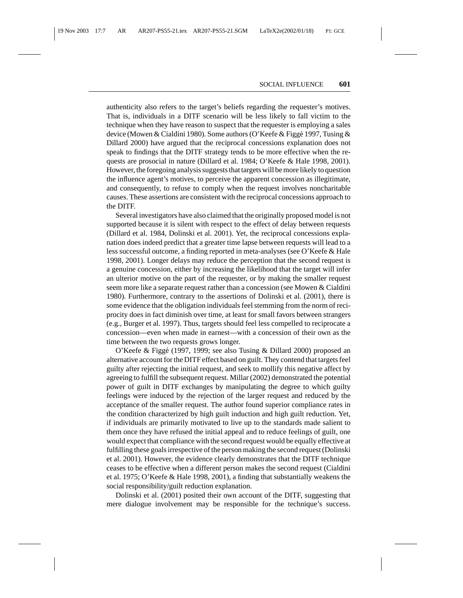authenticity also refers to the target's beliefs regarding the requester's motives. That is, individuals in a DITF scenario will be less likely to fall victim to the technique when they have reason to suspect that the requester is employing a sales device (Mowen & Cialdini 1980). Some authors (O'Keefe & Figgé 1997, Tusing & Dillard 2000) have argued that the reciprocal concessions explanation does not speak to findings that the DITF strategy tends to be more effective when the requests are prosocial in nature (Dillard et al. 1984; O'Keefe & Hale 1998, 2001). However, the foregoing analysis suggests that targets will be more likely to question the influence agent's motives, to perceive the apparent concession as illegitimate, and consequently, to refuse to comply when the request involves noncharitable causes. These assertions are consistent with the reciprocal concessions approach to the DITF.

Several investigators have also claimed that the originally proposed model is not supported because it is silent with respect to the effect of delay between requests (Dillard et al. 1984, Dolinski et al. 2001). Yet, the reciprocal concessions explanation does indeed predict that a greater time lapse between requests will lead to a less successful outcome, a finding reported in meta-analyses (see O'Keefe & Hale 1998, 2001). Longer delays may reduce the perception that the second request is a genuine concession, either by increasing the likelihood that the target will infer an ulterior motive on the part of the requester, or by making the smaller request seem more like a separate request rather than a concession (see Mowen & Cialdini 1980). Furthermore, contrary to the assertions of Dolinski et al. (2001), there is some evidence that the obligation individuals feel stemming from the norm of reciprocity does in fact diminish over time, at least for small favors between strangers (e.g., Burger et al. 1997). Thus, targets should feel less compelled to reciprocate a concession—even when made in earnest—with a concession of their own as the time between the two requests grows longer.

O'Keefe & Figgé (1997, 1999; see also Tusing & Dillard 2000) proposed an alternative account for the DITF effect based on guilt. They contend that targets feel guilty after rejecting the initial request, and seek to mollify this negative affect by agreeing to fulfill the subsequent request. Millar (2002) demonstrated the potential power of guilt in DITF exchanges by manipulating the degree to which guilty feelings were induced by the rejection of the larger request and reduced by the acceptance of the smaller request. The author found superior compliance rates in the condition characterized by high guilt induction and high guilt reduction. Yet, if individuals are primarily motivated to live up to the standards made salient to them once they have refused the initial appeal and to reduce feelings of guilt, one would expect that compliance with the second request would be equally effective at fulfilling these goals irrespective of the person making the second request (Dolinski et al. 2001). However, the evidence clearly demonstrates that the DITF technique ceases to be effective when a different person makes the second request (Cialdini et al. 1975; O'Keefe & Hale 1998, 2001), a finding that substantially weakens the social responsibility/guilt reduction explanation.

Dolinski et al. (2001) posited their own account of the DITF, suggesting that mere dialogue involvement may be responsible for the technique's success.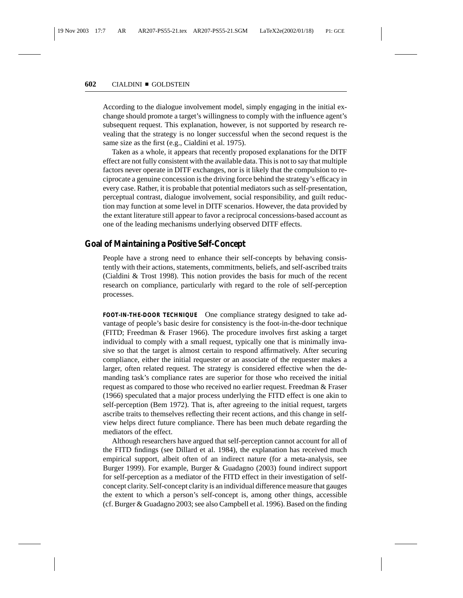According to the dialogue involvement model, simply engaging in the initial exchange should promote a target's willingness to comply with the influence agent's subsequent request. This explanation, however, is not supported by research revealing that the strategy is no longer successful when the second request is the same size as the first (e.g., Cialdini et al. 1975).

Taken as a whole, it appears that recently proposed explanations for the DITF effect are not fully consistent with the available data. This is not to say that multiple factors never operate in DITF exchanges, nor is it likely that the compulsion to reciprocate a genuine concession is the driving force behind the strategy's efficacy in every case. Rather, it is probable that potential mediators such as self-presentation, perceptual contrast, dialogue involvement, social responsibility, and guilt reduction may function at some level in DITF scenarios. However, the data provided by the extant literature still appear to favor a reciprocal concessions-based account as one of the leading mechanisms underlying observed DITF effects.

#### **Goal of Maintaining a Positive Self-Concept**

People have a strong need to enhance their self-concepts by behaving consistently with their actions, statements, commitments, beliefs, and self-ascribed traits (Cialdini & Trost 1998). This notion provides the basis for much of the recent research on compliance, particularly with regard to the role of self-perception processes.

**FOOT-IN-THE-DOOR TECHNIQUE** One compliance strategy designed to take advantage of people's basic desire for consistency is the foot-in-the-door technique (FITD; Freedman & Fraser 1966). The procedure involves first asking a target individual to comply with a small request, typically one that is minimally invasive so that the target is almost certain to respond affirmatively. After securing compliance, either the initial requester or an associate of the requester makes a larger, often related request. The strategy is considered effective when the demanding task's compliance rates are superior for those who received the initial request as compared to those who received no earlier request. Freedman & Fraser (1966) speculated that a major process underlying the FITD effect is one akin to self-perception (Bem 1972). That is, after agreeing to the initial request, targets ascribe traits to themselves reflecting their recent actions, and this change in selfview helps direct future compliance. There has been much debate regarding the mediators of the effect.

Although researchers have argued that self-perception cannot account for all of the FITD findings (see Dillard et al. 1984), the explanation has received much empirical support, albeit often of an indirect nature (for a meta-analysis, see Burger 1999). For example, Burger & Guadagno (2003) found indirect support for self-perception as a mediator of the FITD effect in their investigation of selfconcept clarity. Self-concept clarity is an individual difference measure that gauges the extent to which a person's self-concept is, among other things, accessible (cf. Burger & Guadagno 2003; see also Campbell et al. 1996). Based on the finding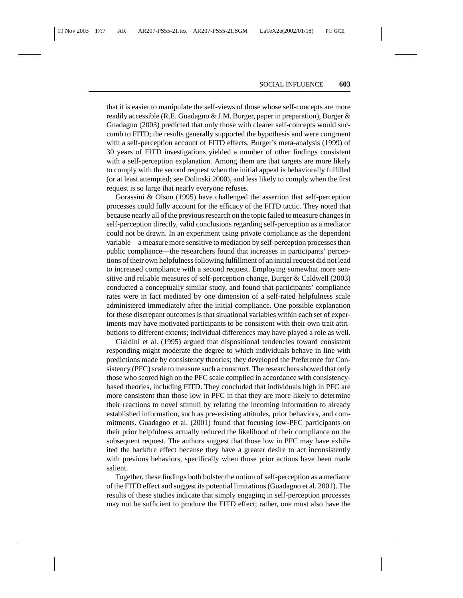that it is easier to manipulate the self-views of those whose self-concepts are more readily accessible (R.E. Guadagno  $& J.M. Burger$ , paper in preparation), Burger  $&$ Guadagno (2003) predicted that only those with clearer self-concepts would succumb to FITD; the results generally supported the hypothesis and were congruent with a self-perception account of FITD effects. Burger's meta-analysis (1999) of 30 years of FITD investigations yielded a number of other findings consistent with a self-perception explanation. Among them are that targets are more likely to comply with the second request when the initial appeal is behaviorally fulfilled (or at least attempted; see Dolinski 2000), and less likely to comply when the first request is so large that nearly everyone refuses.

Gorassini & Olson (1995) have challenged the assertion that self-perception processes could fully account for the efficacy of the FITD tactic. They noted that because nearly all of the previous research on the topic failed to measure changes in self-perception directly, valid conclusions regarding self-perception as a mediator could not be drawn. In an experiment using private compliance as the dependent variable—a measure more sensitive to mediation by self-perception processes than public compliance—the researchers found that increases in participants' perceptions of their own helpfulness following fulfillment of an initial request did not lead to increased compliance with a second request. Employing somewhat more sensitive and reliable measures of self-perception change, Burger & Caldwell (2003) conducted a conceptually similar study, and found that participants' compliance rates were in fact mediated by one dimension of a self-rated helpfulness scale administered immediately after the initial compliance. One possible explanation for these discrepant outcomes is that situational variables within each set of experiments may have motivated participants to be consistent with their own trait attributions to different extents; individual differences may have played a role as well.

Cialdini et al. (1995) argued that dispositional tendencies toward consistent responding might moderate the degree to which individuals behave in line with predictions made by consistency theories; they developed the Preference for Consistency (PFC) scale to measure such a construct. The researchers showed that only those who scored high on the PFC scale complied in accordance with consistencybased theories, including FITD. They concluded that individuals high in PFC are more consistent than those low in PFC in that they are more likely to determine their reactions to novel stimuli by relating the incoming information to already established information, such as pre-existing attitudes, prior behaviors, and commitments. Guadagno et al. (2001) found that focusing low-PFC participants on their prior helpfulness actually reduced the likelihood of their compliance on the subsequent request. The authors suggest that those low in PFC may have exhibited the backfire effect because they have a greater desire to act inconsistently with previous behaviors, specifically when those prior actions have been made salient.

Together, these findings both bolster the notion of self-perception as a mediator of the FITD effect and suggest its potential limitations (Guadagno et al. 2001). The results of these studies indicate that simply engaging in self-perception processes may not be sufficient to produce the FITD effect; rather, one must also have the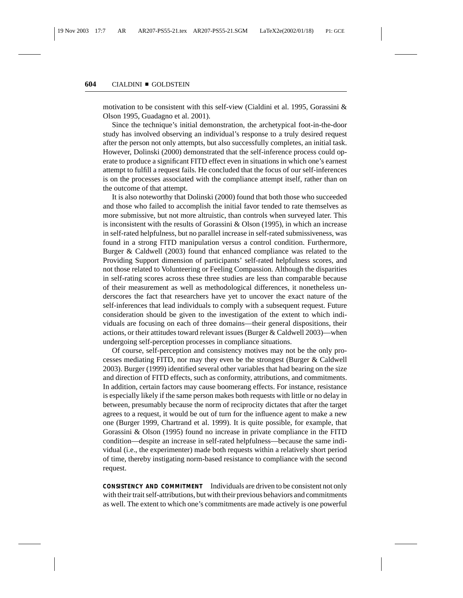motivation to be consistent with this self-view (Cialdini et al. 1995, Gorassini & Olson 1995, Guadagno et al. 2001).

Since the technique's initial demonstration, the archetypical foot-in-the-door study has involved observing an individual's response to a truly desired request after the person not only attempts, but also successfully completes, an initial task. However, Dolinski (2000) demonstrated that the self-inference process could operate to produce a significant FITD effect even in situations in which one's earnest attempt to fulfill a request fails. He concluded that the focus of our self-inferences is on the processes associated with the compliance attempt itself, rather than on the outcome of that attempt.

It is also noteworthy that Dolinski (2000) found that both those who succeeded and those who failed to accomplish the initial favor tended to rate themselves as more submissive, but not more altruistic, than controls when surveyed later. This is inconsistent with the results of Gorassini  $\&$  Olson (1995), in which an increase in self-rated helpfulness, but no parallel increase in self-rated submissiveness, was found in a strong FITD manipulation versus a control condition. Furthermore, Burger & Caldwell (2003) found that enhanced compliance was related to the Providing Support dimension of participants' self-rated helpfulness scores, and not those related to Volunteering or Feeling Compassion. Although the disparities in self-rating scores across these three studies are less than comparable because of their measurement as well as methodological differences, it nonetheless underscores the fact that researchers have yet to uncover the exact nature of the self-inferences that lead individuals to comply with a subsequent request. Future consideration should be given to the investigation of the extent to which individuals are focusing on each of three domains—their general dispositions, their actions, or their attitudes toward relevant issues (Burger & Caldwell 2003)—when undergoing self-perception processes in compliance situations.

Of course, self-perception and consistency motives may not be the only processes mediating FITD, nor may they even be the strongest (Burger & Caldwell 2003). Burger (1999) identified several other variables that had bearing on the size and direction of FITD effects, such as conformity, attributions, and commitments. In addition, certain factors may cause boomerang effects. For instance, resistance is especially likely if the same person makes both requests with little or no delay in between, presumably because the norm of reciprocity dictates that after the target agrees to a request, it would be out of turn for the influence agent to make a new one (Burger 1999, Chartrand et al. 1999). It is quite possible, for example, that Gorassini & Olson (1995) found no increase in private compliance in the FITD condition—despite an increase in self-rated helpfulness—because the same individual (i.e., the experimenter) made both requests within a relatively short period of time, thereby instigating norm-based resistance to compliance with the second request.

**CONSISTENCY AND COMMITMENT** Individuals are driven to be consistent not only with their trait self-attributions, but with their previous behaviors and commitments as well. The extent to which one's commitments are made actively is one powerful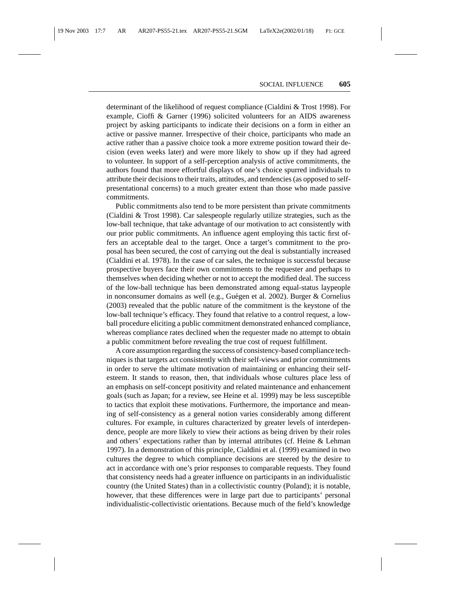determinant of the likelihood of request compliance (Cialdini & Trost 1998). For example, Cioffi & Garner (1996) solicited volunteers for an AIDS awareness project by asking participants to indicate their decisions on a form in either an active or passive manner. Irrespective of their choice, participants who made an active rather than a passive choice took a more extreme position toward their decision (even weeks later) and were more likely to show up if they had agreed to volunteer. In support of a self-perception analysis of active commitments, the authors found that more effortful displays of one's choice spurred individuals to attribute their decisions to their traits, attitudes, and tendencies (as opposed to selfpresentational concerns) to a much greater extent than those who made passive commitments.

Public commitments also tend to be more persistent than private commitments (Cialdini & Trost 1998). Car salespeople regularly utilize strategies, such as the low-ball technique, that take advantage of our motivation to act consistently with our prior public commitments. An influence agent employing this tactic first offers an acceptable deal to the target. Once a target's commitment to the proposal has been secured, the cost of carrying out the deal is substantially increased (Cialdini et al. 1978). In the case of car sales, the technique is successful because prospective buyers face their own commitments to the requester and perhaps to themselves when deciding whether or not to accept the modified deal. The success of the low-ball technique has been demonstrated among equal-status laypeople in nonconsumer domains as well (e.g., Guégen et al. 2002). Burger & Cornelius (2003) revealed that the public nature of the commitment is the keystone of the low-ball technique's efficacy. They found that relative to a control request, a lowball procedure eliciting a public commitment demonstrated enhanced compliance, whereas compliance rates declined when the requester made no attempt to obtain a public commitment before revealing the true cost of request fulfillment.

A core assumption regarding the success of consistency-based compliance techniques is that targets act consistently with their self-views and prior commitments in order to serve the ultimate motivation of maintaining or enhancing their selfesteem. It stands to reason, then, that individuals whose cultures place less of an emphasis on self-concept positivity and related maintenance and enhancement goals (such as Japan; for a review, see Heine et al. 1999) may be less susceptible to tactics that exploit these motivations. Furthermore, the importance and meaning of self-consistency as a general notion varies considerably among different cultures. For example, in cultures characterized by greater levels of interdependence, people are more likely to view their actions as being driven by their roles and others' expectations rather than by internal attributes (cf. Heine & Lehman 1997). In a demonstration of this principle, Cialdini et al. (1999) examined in two cultures the degree to which compliance decisions are steered by the desire to act in accordance with one's prior responses to comparable requests. They found that consistency needs had a greater influence on participants in an individualistic country (the United States) than in a collectivistic country (Poland); it is notable, however, that these differences were in large part due to participants' personal individualistic-collectivistic orientations. Because much of the field's knowledge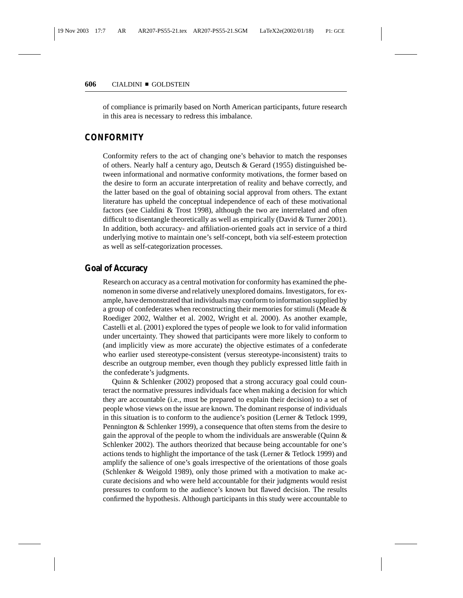of compliance is primarily based on North American participants, future research in this area is necessary to redress this imbalance.

#### **CONFORMITY**

Conformity refers to the act of changing one's behavior to match the responses of others. Nearly half a century ago, Deutsch & Gerard (1955) distinguished between informational and normative conformity motivations, the former based on the desire to form an accurate interpretation of reality and behave correctly, and the latter based on the goal of obtaining social approval from others. The extant literature has upheld the conceptual independence of each of these motivational factors (see Cialdini & Trost 1998), although the two are interrelated and often difficult to disentangle theoretically as well as empirically (David & Turner 2001). In addition, both accuracy- and affiliation-oriented goals act in service of a third underlying motive to maintain one's self-concept, both via self-esteem protection as well as self-categorization processes.

### **Goal of Accuracy**

Research on accuracy as a central motivation for conformity has examined the phenomenon in some diverse and relatively unexplored domains. Investigators, for example, have demonstrated that individuals may conform to information supplied by a group of confederates when reconstructing their memories for stimuli (Meade & Roediger 2002, Walther et al. 2002, Wright et al. 2000). As another example, Castelli et al. (2001) explored the types of people we look to for valid information under uncertainty. They showed that participants were more likely to conform to (and implicitly view as more accurate) the objective estimates of a confederate who earlier used stereotype-consistent (versus stereotype-inconsistent) traits to describe an outgroup member, even though they publicly expressed little faith in the confederate's judgments.

Quinn & Schlenker (2002) proposed that a strong accuracy goal could counteract the normative pressures individuals face when making a decision for which they are accountable (i.e., must be prepared to explain their decision) to a set of people whose views on the issue are known. The dominant response of individuals in this situation is to conform to the audience's position (Lerner & Tetlock 1999, Pennington & Schlenker 1999), a consequence that often stems from the desire to gain the approval of the people to whom the individuals are answerable (Quinn  $&$ Schlenker 2002). The authors theorized that because being accountable for one's actions tends to highlight the importance of the task (Lerner & Tetlock 1999) and amplify the salience of one's goals irrespective of the orientations of those goals (Schlenker & Weigold 1989), only those primed with a motivation to make accurate decisions and who were held accountable for their judgments would resist pressures to conform to the audience's known but flawed decision. The results confirmed the hypothesis. Although participants in this study were accountable to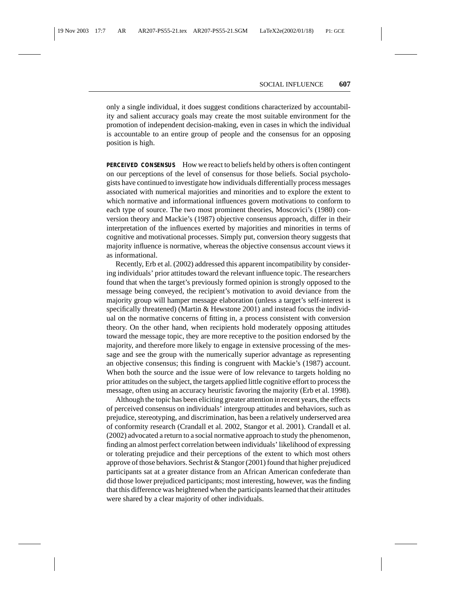only a single individual, it does suggest conditions characterized by accountability and salient accuracy goals may create the most suitable environment for the promotion of independent decision-making, even in cases in which the individual is accountable to an entire group of people and the consensus for an opposing position is high.

**PERCEIVED CONSENSUS** How we react to beliefs held by others is often contingent on our perceptions of the level of consensus for those beliefs. Social psychologists have continued to investigate how individuals differentially process messages associated with numerical majorities and minorities and to explore the extent to which normative and informational influences govern motivations to conform to each type of source. The two most prominent theories, Moscovici's (1980) conversion theory and Mackie's (1987) objective consensus approach, differ in their interpretation of the influences exerted by majorities and minorities in terms of cognitive and motivational processes. Simply put, conversion theory suggests that majority influence is normative, whereas the objective consensus account views it as informational.

Recently, Erb et al. (2002) addressed this apparent incompatibility by considering individuals' prior attitudes toward the relevant influence topic. The researchers found that when the target's previously formed opinion is strongly opposed to the message being conveyed, the recipient's motivation to avoid deviance from the majority group will hamper message elaboration (unless a target's self-interest is specifically threatened) (Martin & Hewstone 2001) and instead focus the individual on the normative concerns of fitting in, a process consistent with conversion theory. On the other hand, when recipients hold moderately opposing attitudes toward the message topic, they are more receptive to the position endorsed by the majority, and therefore more likely to engage in extensive processing of the message and see the group with the numerically superior advantage as representing an objective consensus; this finding is congruent with Mackie's (1987) account. When both the source and the issue were of low relevance to targets holding no prior attitudes on the subject, the targets applied little cognitive effort to process the message, often using an accuracy heuristic favoring the majority (Erb et al. 1998).

Although the topic has been eliciting greater attention in recent years, the effects of perceived consensus on individuals' intergroup attitudes and behaviors, such as prejudice, stereotyping, and discrimination, has been a relatively underserved area of conformity research (Crandall et al. 2002, Stangor et al. 2001). Crandall et al. (2002) advocated a return to a social normative approach to study the phenomenon, finding an almost perfect correlation between individuals' likelihood of expressing or tolerating prejudice and their perceptions of the extent to which most others approve of those behaviors. Sechrist  $&$  Stangor (2001) found that higher prejudiced participants sat at a greater distance from an African American confederate than did those lower prejudiced participants; most interesting, however, was the finding that this difference was heightened when the participants learned that their attitudes were shared by a clear majority of other individuals.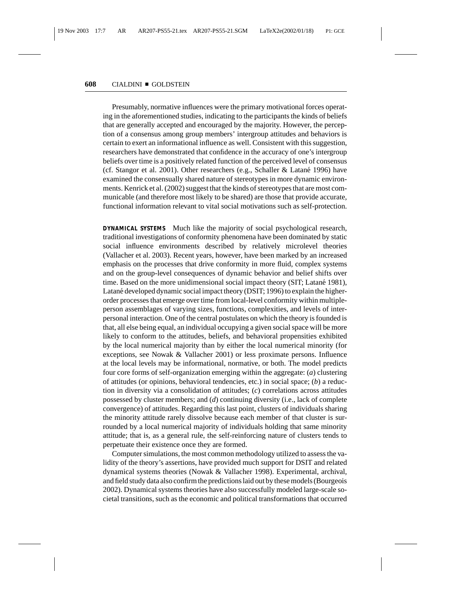Presumably, normative influences were the primary motivational forces operating in the aforementioned studies, indicating to the participants the kinds of beliefs that are generally accepted and encouraged by the majority. However, the perception of a consensus among group members' intergroup attitudes and behaviors is certain to exert an informational influence as well. Consistent with this suggestion, researchers have demonstrated that confidence in the accuracy of one's intergroup beliefs over time is a positively related function of the perceived level of consensus (cf. Stangor et al. 2001). Other researchers (e.g., Schaller & Latan´e 1996) have examined the consensually shared nature of stereotypes in more dynamic environments. Kenrick et al. (2002) suggest that the kinds of stereotypes that are most communicable (and therefore most likely to be shared) are those that provide accurate, functional information relevant to vital social motivations such as self-protection.

**DYNAMICAL SYSTEMS** Much like the majority of social psychological research, traditional investigations of conformity phenomena have been dominated by static social influence environments described by relatively microlevel theories (Vallacher et al. 2003). Recent years, however, have been marked by an increased emphasis on the processes that drive conformity in more fluid, complex systems and on the group-level consequences of dynamic behavior and belief shifts over time. Based on the more unidimensional social impact theory (SIT; Latané 1981), Latané developed dynamic social impact theory (DSIT; 1996) to explain the higherorder processes that emerge over time from local-level conformity within multipleperson assemblages of varying sizes, functions, complexities, and levels of interpersonal interaction. One of the central postulates on which the theory is founded is that, all else being equal, an individual occupying a given social space will be more likely to conform to the attitudes, beliefs, and behavioral propensities exhibited by the local numerical majority than by either the local numerical minority (for exceptions, see Nowak & Vallacher 2001) or less proximate persons. Influence at the local levels may be informational, normative, or both. The model predicts four core forms of self-organization emerging within the aggregate: (*a*) clustering of attitudes (or opinions, behavioral tendencies, etc.) in social space; (*b*) a reduction in diversity via a consolidation of attitudes; (*c*) correlations across attitudes possessed by cluster members; and (*d*) continuing diversity (i.e., lack of complete convergence) of attitudes. Regarding this last point, clusters of individuals sharing the minority attitude rarely dissolve because each member of that cluster is surrounded by a local numerical majority of individuals holding that same minority attitude; that is, as a general rule, the self-reinforcing nature of clusters tends to perpetuate their existence once they are formed.

Computer simulations, the most common methodology utilized to assess the validity of the theory's assertions, have provided much support for DSIT and related dynamical systems theories (Nowak & Vallacher 1998). Experimental, archival, and field study data also confirm the predictions laid out by these models (Bourgeois 2002). Dynamical systems theories have also successfully modeled large-scale societal transitions, such as the economic and political transformations that occurred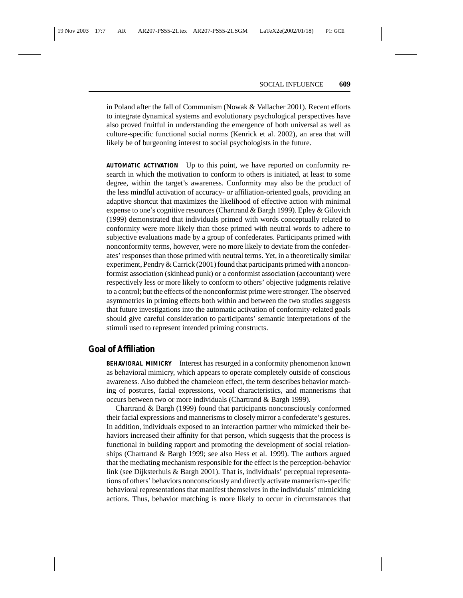in Poland after the fall of Communism (Nowak & Vallacher 2001). Recent efforts to integrate dynamical systems and evolutionary psychological perspectives have also proved fruitful in understanding the emergence of both universal as well as culture-specific functional social norms (Kenrick et al. 2002), an area that will likely be of burgeoning interest to social psychologists in the future.

**AUTOMATIC ACTIVATION** Up to this point, we have reported on conformity research in which the motivation to conform to others is initiated, at least to some degree, within the target's awareness. Conformity may also be the product of the less mindful activation of accuracy- or affiliation-oriented goals, providing an adaptive shortcut that maximizes the likelihood of effective action with minimal expense to one's cognitive resources (Chartrand & Bargh 1999). Epley & Gilovich (1999) demonstrated that individuals primed with words conceptually related to conformity were more likely than those primed with neutral words to adhere to subjective evaluations made by a group of confederates. Participants primed with nonconformity terms, however, were no more likely to deviate from the confederates' responses than those primed with neutral terms. Yet, in a theoretically similar experiment, Pendry  $&$  Carrick (2001) found that participants primed with a nonconformist association (skinhead punk) or a conformist association (accountant) were respectively less or more likely to conform to others' objective judgments relative to a control; but the effects of the nonconformist prime were stronger. The observed asymmetries in priming effects both within and between the two studies suggests that future investigations into the automatic activation of conformity-related goals should give careful consideration to participants' semantic interpretations of the stimuli used to represent intended priming constructs.

#### **Goal of Affiliation**

BEHAVIORAL MIMICRY Interest has resurged in a conformity phenomenon known as behavioral mimicry, which appears to operate completely outside of conscious awareness. Also dubbed the chameleon effect, the term describes behavior matching of postures, facial expressions, vocal characteristics, and mannerisms that occurs between two or more individuals (Chartrand & Bargh 1999).

Chartrand & Bargh (1999) found that participants nonconsciously conformed their facial expressions and mannerisms to closely mirror a confederate's gestures. In addition, individuals exposed to an interaction partner who mimicked their behaviors increased their affinity for that person, which suggests that the process is functional in building rapport and promoting the development of social relationships (Chartrand & Bargh 1999; see also Hess et al. 1999). The authors argued that the mediating mechanism responsible for the effect is the perception-behavior link (see Dijksterhuis & Bargh 2001). That is, individuals' perceptual representations of others' behaviors nonconsciously and directly activate mannerism-specific behavioral representations that manifest themselves in the individuals' mimicking actions. Thus, behavior matching is more likely to occur in circumstances that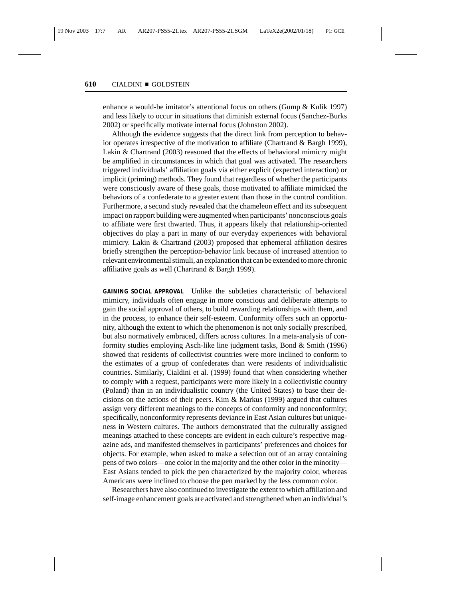enhance a would-be imitator's attentional focus on others (Gump & Kulik 1997) and less likely to occur in situations that diminish external focus (Sanchez-Burks 2002) or specifically motivate internal focus (Johnston 2002).

Although the evidence suggests that the direct link from perception to behavior operates irrespective of the motivation to affiliate (Chartrand & Bargh 1999), Lakin & Chartrand (2003) reasoned that the effects of behavioral mimicry might be amplified in circumstances in which that goal was activated. The researchers triggered individuals' affiliation goals via either explicit (expected interaction) or implicit (priming) methods. They found that regardless of whether the participants were consciously aware of these goals, those motivated to affiliate mimicked the behaviors of a confederate to a greater extent than those in the control condition. Furthermore, a second study revealed that the chameleon effect and its subsequent impact on rapport building were augmented when participants' nonconscious goals to affiliate were first thwarted. Thus, it appears likely that relationship-oriented objectives do play a part in many of our everyday experiences with behavioral mimicry. Lakin & Chartrand (2003) proposed that ephemeral affiliation desires briefly strengthen the perception-behavior link because of increased attention to relevant environmental stimuli, an explanation that can be extended to more chronic affiliative goals as well (Chartrand & Bargh 1999).

**GAINING SOCIAL APPROVAL** Unlike the subtleties characteristic of behavioral mimicry, individuals often engage in more conscious and deliberate attempts to gain the social approval of others, to build rewarding relationships with them, and in the process, to enhance their self-esteem. Conformity offers such an opportunity, although the extent to which the phenomenon is not only socially prescribed, but also normatively embraced, differs across cultures. In a meta-analysis of conformity studies employing Asch-like line judgment tasks, Bond & Smith (1996) showed that residents of collectivist countries were more inclined to conform to the estimates of a group of confederates than were residents of individualistic countries. Similarly, Cialdini et al. (1999) found that when considering whether to comply with a request, participants were more likely in a collectivistic country (Poland) than in an individualistic country (the United States) to base their decisions on the actions of their peers. Kim  $\&$  Markus (1999) argued that cultures assign very different meanings to the concepts of conformity and nonconformity; specifically, nonconformity represents deviance in East Asian cultures but uniqueness in Western cultures. The authors demonstrated that the culturally assigned meanings attached to these concepts are evident in each culture's respective magazine ads, and manifested themselves in participants' preferences and choices for objects. For example, when asked to make a selection out of an array containing pens of two colors—one color in the majority and the other color in the minority— East Asians tended to pick the pen characterized by the majority color, whereas Americans were inclined to choose the pen marked by the less common color.

Researchers have also continued to investigate the extent to which affiliation and self-image enhancement goals are activated and strengthened when an individual's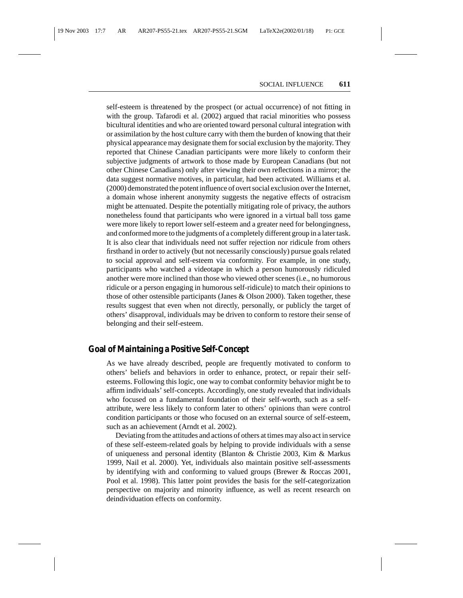self-esteem is threatened by the prospect (or actual occurrence) of not fitting in with the group. Tafarodi et al. (2002) argued that racial minorities who possess bicultural identities and who are oriented toward personal cultural integration with or assimilation by the host culture carry with them the burden of knowing that their physical appearance may designate them for social exclusion by the majority. They reported that Chinese Canadian participants were more likely to conform their subjective judgments of artwork to those made by European Canadians (but not other Chinese Canadians) only after viewing their own reflections in a mirror; the data suggest normative motives, in particular, had been activated. Williams et al. (2000) demonstrated the potent influence of overt social exclusion over the Internet, a domain whose inherent anonymity suggests the negative effects of ostracism might be attenuated. Despite the potentially mitigating role of privacy, the authors nonetheless found that participants who were ignored in a virtual ball toss game were more likely to report lower self-esteem and a greater need for belongingness, and conformed more to the judgments of a completely different group in a later task. It is also clear that individuals need not suffer rejection nor ridicule from others firsthand in order to actively (but not necessarily consciously) pursue goals related to social approval and self-esteem via conformity. For example, in one study, participants who watched a videotape in which a person humorously ridiculed another were more inclined than those who viewed other scenes (i.e., no humorous ridicule or a person engaging in humorous self-ridicule) to match their opinions to those of other ostensible participants (Janes & Olson 2000). Taken together, these results suggest that even when not directly, personally, or publicly the target of others' disapproval, individuals may be driven to conform to restore their sense of belonging and their self-esteem.

## **Goal of Maintaining a Positive Self-Concept**

As we have already described, people are frequently motivated to conform to others' beliefs and behaviors in order to enhance, protect, or repair their selfesteems. Following this logic, one way to combat conformity behavior might be to affirm individuals' self-concepts. Accordingly, one study revealed that individuals who focused on a fundamental foundation of their self-worth, such as a selfattribute, were less likely to conform later to others' opinions than were control condition participants or those who focused on an external source of self-esteem, such as an achievement (Arndt et al. 2002).

Deviating from the attitudes and actions of others at times may also act in service of these self-esteem-related goals by helping to provide individuals with a sense of uniqueness and personal identity (Blanton & Christie 2003, Kim & Markus 1999, Nail et al. 2000). Yet, individuals also maintain positive self-assessments by identifying with and conforming to valued groups (Brewer & Roccas 2001, Pool et al. 1998). This latter point provides the basis for the self-categorization perspective on majority and minority influence, as well as recent research on deindividuation effects on conformity.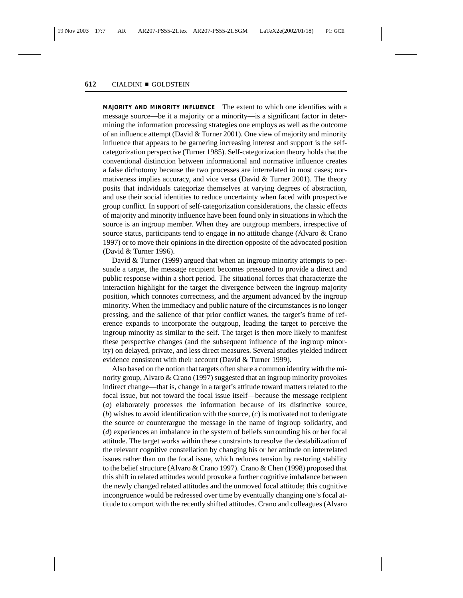**MAJORITY AND MINORITY INFLUENCE** The extent to which one identifies with a message source—be it a majority or a minority—is a significant factor in determining the information processing strategies one employs as well as the outcome of an influence attempt (David & Turner 2001). One view of majority and minority influence that appears to be garnering increasing interest and support is the selfcategorization perspective (Turner 1985). Self-categorization theory holds that the conventional distinction between informational and normative influence creates a false dichotomy because the two processes are interrelated in most cases; normativeness implies accuracy, and vice versa (David  $&$  Turner 2001). The theory posits that individuals categorize themselves at varying degrees of abstraction, and use their social identities to reduce uncertainty when faced with prospective group conflict. In support of self-categorization considerations, the classic effects of majority and minority influence have been found only in situations in which the source is an ingroup member. When they are outgroup members, irrespective of source status, participants tend to engage in no attitude change (Alvaro & Crano 1997) or to move their opinions in the direction opposite of the advocated position (David & Turner 1996).

David & Turner (1999) argued that when an ingroup minority attempts to persuade a target, the message recipient becomes pressured to provide a direct and public response within a short period. The situational forces that characterize the interaction highlight for the target the divergence between the ingroup majority position, which connotes correctness, and the argument advanced by the ingroup minority. When the immediacy and public nature of the circumstances is no longer pressing, and the salience of that prior conflict wanes, the target's frame of reference expands to incorporate the outgroup, leading the target to perceive the ingroup minority as similar to the self. The target is then more likely to manifest these perspective changes (and the subsequent influence of the ingroup minority) on delayed, private, and less direct measures. Several studies yielded indirect evidence consistent with their account (David & Turner 1999).

Also based on the notion that targets often share a common identity with the minority group, Alvaro & Crano (1997) suggested that an ingroup minority provokes indirect change—that is, change in a target's attitude toward matters related to the focal issue, but not toward the focal issue itself—because the message recipient (*a*) elaborately processes the information because of its distinctive source, (*b*) wishes to avoid identification with the source, (*c*) is motivated not to denigrate the source or counterargue the message in the name of ingroup solidarity, and (*d*) experiences an imbalance in the system of beliefs surrounding his or her focal attitude. The target works within these constraints to resolve the destabilization of the relevant cognitive constellation by changing his or her attitude on interrelated issues rather than on the focal issue, which reduces tension by restoring stability to the belief structure (Alvaro & Crano 1997). Crano & Chen (1998) proposed that this shift in related attitudes would provoke a further cognitive imbalance between the newly changed related attitudes and the unmoved focal attitude; this cognitive incongruence would be redressed over time by eventually changing one's focal attitude to comport with the recently shifted attitudes. Crano and colleagues (Alvaro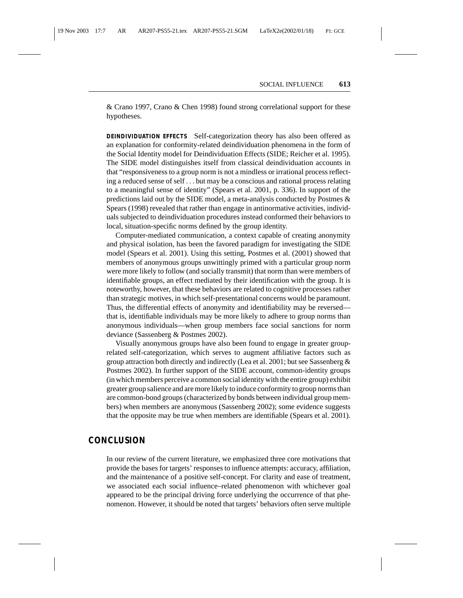& Crano 1997, Crano & Chen 1998) found strong correlational support for these hypotheses.

**DEINDIVIDUATION EFFECTS** Self-categorization theory has also been offered as an explanation for conformity-related deindividuation phenomena in the form of the Social Identity model for Deindividuation Effects (SIDE; Reicher et al. 1995). The SIDE model distinguishes itself from classical deindividuation accounts in that "responsiveness to a group norm is not a mindless or irrational process reflecting a reduced sense of self... but may be a conscious and rational process relating to a meaningful sense of identity" (Spears et al. 2001, p. 336). In support of the predictions laid out by the SIDE model, a meta-analysis conducted by Postmes & Spears (1998) revealed that rather than engage in antinormative activities, individuals subjected to deindividuation procedures instead conformed their behaviors to local, situation-specific norms defined by the group identity.

Computer-mediated communication, a context capable of creating anonymity and physical isolation, has been the favored paradigm for investigating the SIDE model (Spears et al. 2001). Using this setting, Postmes et al. (2001) showed that members of anonymous groups unwittingly primed with a particular group norm were more likely to follow (and socially transmit) that norm than were members of identifiable groups, an effect mediated by their identification with the group. It is noteworthy, however, that these behaviors are related to cognitive processes rather than strategic motives, in which self-presentational concerns would be paramount. Thus, the differential effects of anonymity and identifiability may be reversed that is, identifiable individuals may be more likely to adhere to group norms than anonymous individuals—when group members face social sanctions for norm deviance (Sassenberg & Postmes 2002).

Visually anonymous groups have also been found to engage in greater grouprelated self-categorization, which serves to augment affiliative factors such as group attraction both directly and indirectly (Lea et al. 2001; but see Sassenberg & Postmes 2002). In further support of the SIDE account, common-identity groups (in which members perceive a common social identity with the entire group) exhibit greater group salience and are more likely to induce conformity to group norms than are common-bond groups (characterized by bonds between individual group members) when members are anonymous (Sassenberg 2002); some evidence suggests that the opposite may be true when members are identifiable (Spears et al. 2001).

#### **CONCLUSION**

In our review of the current literature, we emphasized three core motivations that provide the bases for targets' responses to influence attempts: accuracy, affiliation, and the maintenance of a positive self-concept. For clarity and ease of treatment, we associated each social influence–related phenomenon with whichever goal appeared to be the principal driving force underlying the occurrence of that phenomenon. However, it should be noted that targets' behaviors often serve multiple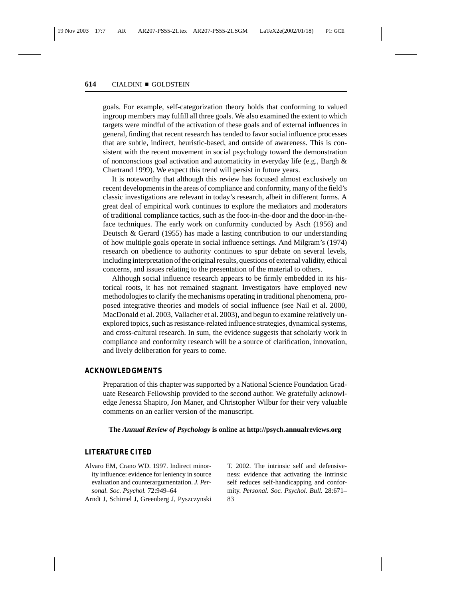goals. For example, self-categorization theory holds that conforming to valued ingroup members may fulfill all three goals. We also examined the extent to which targets were mindful of the activation of these goals and of external influences in general, finding that recent research has tended to favor social influence processes that are subtle, indirect, heuristic-based, and outside of awareness. This is consistent with the recent movement in social psychology toward the demonstration of nonconscious goal activation and automaticity in everyday life (e.g., Bargh & Chartrand 1999). We expect this trend will persist in future years.

It is noteworthy that although this review has focused almost exclusively on recent developments in the areas of compliance and conformity, many of the field's classic investigations are relevant in today's research, albeit in different forms. A great deal of empirical work continues to explore the mediators and moderators of traditional compliance tactics, such as the foot-in-the-door and the door-in-theface techniques. The early work on conformity conducted by Asch (1956) and Deutsch & Gerard (1955) has made a lasting contribution to our understanding of how multiple goals operate in social influence settings. And Milgram's (1974) research on obedience to authority continues to spur debate on several levels, including interpretation of the original results, questions of external validity, ethical concerns, and issues relating to the presentation of the material to others.

Although social influence research appears to be firmly embedded in its historical roots, it has not remained stagnant. Investigators have employed new methodologies to clarify the mechanisms operating in traditional phenomena, proposed integrative theories and models of social influence (see Nail et al. 2000, MacDonald et al. 2003, Vallacher et al. 2003), and begun to examine relatively unexplored topics, such as resistance-related influence strategies, dynamical systems, and cross-cultural research. In sum, the evidence suggests that scholarly work in compliance and conformity research will be a source of clarification, innovation, and lively deliberation for years to come.

#### **ACKNOWLEDGMENTS**

Preparation of this chapter was supported by a National Science Foundation Graduate Research Fellowship provided to the second author. We gratefully acknowledge Jenessa Shapiro, Jon Maner, and Christopher Wilbur for their very valuable comments on an earlier version of the manuscript.

#### **The** *Annual Review of Psychology* **is online at http://psych.annualreviews.org**

#### **LITERATURE CITED**

- Alvaro EM, Crano WD. 1997. Indirect minority influence: evidence for leniency in source evaluation and counterargumentation. *J. Personal. Soc. Psychol.* 72:949–64
- Arndt J, Schimel J, Greenberg J, Pyszczynski

T. 2002. The intrinsic self and defensiveness: evidence that activating the intrinsic self reduces self-handicapping and conformity. *Personal. Soc. Psychol. Bull.* 28:671– 83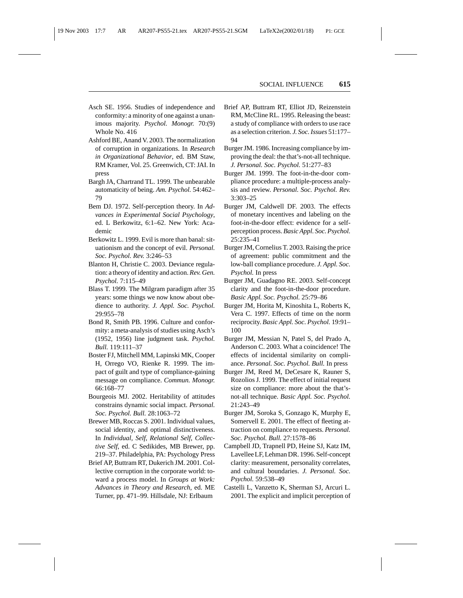- Asch SE. 1956. Studies of independence and conformity: a minority of one against a unanimous majority. *Psychol. Monogr.* 70:(9) Whole No. 416
- Ashford BE, Anand V. 2003. The normalization of corruption in organizations. In *Research in Organizational Behavior*, ed. BM Staw, RM Kramer, Vol. 25. Greenwich, CT: JAI. In press
- Bargh JA, Chartrand TL. 1999. The unbearable automaticity of being. *Am. Psychol.* 54:462– 79
- Bem DJ. 1972. Self-perception theory. In *Advances in Experimental Social Psychology*, ed. L Berkowitz, 6:1–62. New York: Academic
- Berkowitz L. 1999. Evil is more than banal: situationism and the concept of evil. *Personal. Soc. Psychol. Rev.* 3:246–53
- Blanton H, Christie C. 2003. Deviance regulation: a theory of identity and action. *Rev. Gen. Psychol.* 7:115–49
- Blass T. 1999. The Milgram paradigm after 35 years: some things we now know about obedience to authority. *J. Appl. Soc. Psychol.* 29:955–78
- Bond R, Smith PB. 1996. Culture and conformity: a meta-analysis of studies using Asch's (1952, 1956) line judgment task. *Psychol. Bull.* 119:111–37
- Boster FJ, Mitchell MM, Lapinski MK, Cooper H, Orrego VO, Rienke R. 1999. The impact of guilt and type of compliance-gaining message on compliance. *Commun. Monogr.* 66:168–77
- Bourgeois MJ. 2002. Heritability of attitudes constrains dynamic social impact. *Personal. Soc. Psychol. Bull.* 28:1063–72
- Brewer MB, Roccas S. 2001. Individual values, social identity, and optimal distinctiveness. In *Individual, Self, Relational Self, Collective Self*, ed. C Sedikides, MB Brewer, pp. 219–37. Philadelphia, PA: Psychology Press
- Brief AP, Buttram RT, Dukerich JM. 2001. Collective corruption in the corporate world: toward a process model. In *Groups at Work: Advances in Theory and Research*, ed. ME Turner, pp. 471–99. Hillsdale, NJ: Erlbaum
- Brief AP, Buttram RT, Elliot JD, Reizenstein RM, McCline RL. 1995. Releasing the beast: a study of compliance with orders to use race as a selection criterion. *J. Soc. Issues* 51:177– 94
- Burger JM. 1986. Increasing compliance by improving the deal: the that's-not-all technique. *J. Personal. Soc. Psychol.* 51:277–83
- Burger JM. 1999. The foot-in-the-door compliance procedure: a multiple-process analysis and review. *Personal. Soc. Psychol. Rev.* 3:303–25
- Burger JM, Caldwell DF. 2003. The effects of monetary incentives and labeling on the foot-in-the-door effect: evidence for a selfperception process.*Basic Appl. Soc. Psychol.* 25:235–41
- Burger JM, Cornelius T. 2003. Raising the price of agreement: public commitment and the low-ball compliance procedure. *J. Appl. Soc. Psychol.* In press
- Burger JM, Guadagno RE. 2003. Self-concept clarity and the foot-in-the-door procedure. *Basic Appl. Soc. Psychol.* 25:79–86
- Burger JM, Horita M, Kinoshita L, Roberts K, Vera C. 1997. Effects of time on the norm reciprocity. *Basic Appl. Soc. Psychol.* 19:91– 100
- Burger JM, Messian N, Patel S, del Prado A, Anderson C. 2003. What a coincidence! The effects of incidental similarity on compliance. *Personal. Soc. Psychol. Bull.* In press
- Burger JM, Reed M, DeCesare K, Rauner S, Rozolios J. 1999. The effect of initial request size on compliance: more about the that'snot-all technique. *Basic Appl. Soc. Psychol.* 21:243–49
- Burger JM, Soroka S, Gonzago K, Murphy E, Somervell E. 2001. The effect of fleeting attraction on compliance to requests. *Personal. Soc. Psychol. Bull.* 27:1578–86
- Campbell JD, Trapnell PD, Heine SJ, Katz IM, Lavellee LF, Lehman DR. 1996. Self-concept clarity: measurement, personality correlates, and cultural boundaries. *J. Personal. Soc. Psychol.* 59:538–49
- Castelli L, Vanzetto K, Sherman SJ, Arcuri L. 2001. The explicit and implicit perception of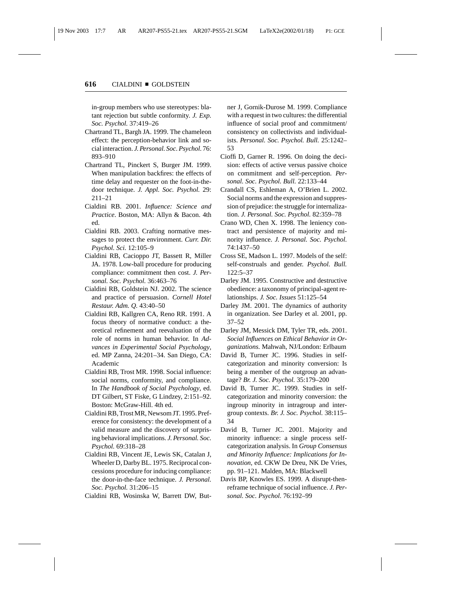in-group members who use stereotypes: blatant rejection but subtle conformity. *J. Exp. Soc. Psychol.* 37:419–26

- Chartrand TL, Bargh JA. 1999. The chameleon effect: the perception-behavior link and social interaction. *J. Personal. Soc. Psychol.* 76: 893–910
- Chartrand TL, Pinckert S, Burger JM. 1999. When manipulation backfires: the effects of time delay and requester on the foot-in-thedoor technique. *J. Appl. Soc. Psychol.* 29: 211–21
- Cialdini RB. 2001. *Influence: Science and Practice*. Boston, MA: Allyn & Bacon. 4th ed.
- Cialdini RB. 2003. Crafting normative messages to protect the environment. *Curr. Dir. Psychol. Sci.* 12:105–9
- Cialdini RB, Cacioppo JT, Bassett R, Miller JA. 1978. Low-ball procedure for producing compliance: commitment then cost. *J. Personal. Soc. Psychol.* 36:463–76
- Cialdini RB, Goldstein NJ. 2002. The science and practice of persuasion. *Cornell Hotel Restaur. Adm. Q.* 43:40–50
- Cialdini RB, Kallgren CA, Reno RR. 1991. A focus theory of normative conduct: a theoretical refinement and reevaluation of the role of norms in human behavior. In *Advances in Experimental Social Psychology*, ed. MP Zanna, 24:201–34. San Diego, CA: Academic
- Cialdini RB, Trost MR. 1998. Social influence: social norms, conformity, and compliance. In *The Handbook of Social Psychology*, ed. DT Gilbert, ST Fiske, G Lindzey, 2:151–92. Boston: McGraw-Hill. 4th ed.
- Cialdini RB, Trost MR, Newsom JT. 1995. Preference for consistency: the development of a valid measure and the discovery of surprising behavioral implications. *J. Personal. Soc. Psychol.* 69:318–28
- Cialdini RB, Vincent JE, Lewis SK, Catalan J, Wheeler D, Darby BL. 1975. Reciprocal concessions procedure for inducing compliance: the door-in-the-face technique. *J. Personal. Soc. Psychol.* 31:206–15
- Cialdini RB, Wosinska W, Barrett DW, But-

ner J, Gornik-Durose M. 1999. Compliance with a request in two cultures: the differential influence of social proof and commitment/ consistency on collectivists and individualists. *Personal. Soc. Psychol. Bull.* 25:1242– 53

- Cioffi D, Garner R. 1996. On doing the decision: effects of active versus passive choice on commitment and self-perception. *Personal. Soc. Psychol. Bull.* 22:133–44
- Crandall CS, Eshleman A, O'Brien L. 2002. Social norms and the expression and suppression of prejudice: the struggle for internalization. *J. Personal. Soc. Psychol.* 82:359–78
- Crano WD, Chen X. 1998. The leniency contract and persistence of majority and minority influence. *J. Personal. Soc. Psychol.* 74:1437–50
- Cross SE, Madson L. 1997. Models of the self: self-construals and gender. *Psychol. Bull.* 122:5–37
- Darley JM. 1995. Constructive and destructive obedience: a taxonomy of principal-agent relationships. *J. Soc. Issues* 51:125–54
- Darley JM. 2001. The dynamics of authority in organization. See Darley et al. 2001, pp. 37–52
- Darley JM, Messick DM, Tyler TR, eds. 2001. *Social Influences on Ethical Behavior in Organizations.* Mahwah, NJ/London: Erlbaum
- David B, Turner JC. 1996. Studies in selfcategorization and minority conversion: Is being a member of the outgroup an advantage? *Br. J. Soc. Psychol.* 35:179–200
- David B, Turner JC. 1999. Studies in selfcategorization and minority conversion: the ingroup minority in intragroup and intergroup contexts. *Br. J. Soc. Psychol.* 38:115– 34
- David B, Turner JC. 2001. Majority and minority influence: a single process selfcategorization analysis. In *Group Consensus and Minority Influence: Implications for Innovation*, ed. CKW De Dreu, NK De Vries, pp. 91–121. Malden, MA: Blackwell
- Davis BP, Knowles ES. 1999. A disrupt-thenreframe technique of social influence. *J. Personal. Soc. Psychol.* 76:192–99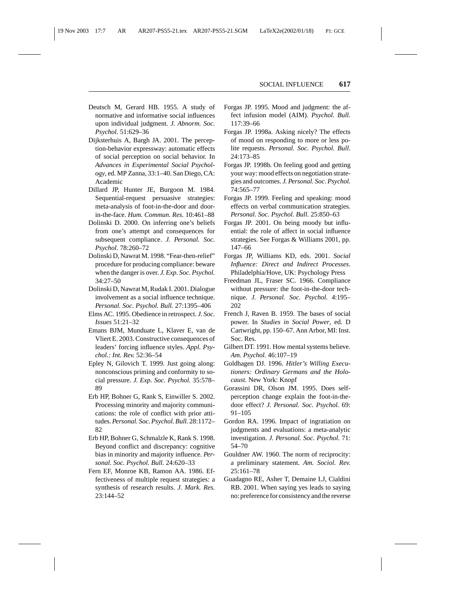- Deutsch M, Gerard HB. 1955. A study of normative and informative social influences upon individual judgment. *J. Abnorm. Soc. Psychol.* 51:629–36
- Dijksterhuis A, Bargh JA. 2001. The perception-behavior expressway: automatic effects of social perception on social behavior. In *Advances in Experimental Social Psychology*, ed. MP Zanna, 33:1–40. San Diego, CA: Academic
- Dillard JP, Hunter JE, Burgoon M. 1984. Sequential-request persuasive strategies: meta-analysis of foot-in-the-door and doorin-the-face. *Hum. Commun. Res.* 10:461–88
- Dolinski D. 2000. On inferring one's beliefs from one's attempt and consequences for subsequent compliance. *J. Personal. Soc. Psychol.* 78:260–72
- Dolinski D, Nawrat M. 1998. "Fear-then-relief" procedure for producing compliance: beware when the danger is over. *J. Exp. Soc. Psychol.* 34:27–50
- Dolinski D, Nawrat M, Rudak I. 2001. Dialogue involvement as a social influence technique. *Personal. Soc. Psychol. Bull.* 27:1395–406
- Elms AC. 1995. Obedience in retrospect. *J. Soc. Issues* 51:21–32
- Emans BJM, Munduate L, Klaver E, van de Vliert E. 2003. Constructive consequences of leaders' forcing influence styles. *Appl. Psychol.: Int. Rev.* 52:36–54
- Epley N, Gilovich T. 1999. Just going along: nonconscious priming and conformity to social pressure. *J. Exp. Soc. Psychol.* 35:578– 89
- Erb HP, Bohner G, Rank S, Einwiller S. 2002. Processing minority and majority communications: the role of conflict with prior attitudes.*Personal. Soc. Psychol. Bull.* 28:1172– 82
- Erb HP, Bohner G, Schmalzle K, Rank S. 1998. Beyond conflict and discrepancy: cognitive bias in minority and majority influence. *Personal. Soc. Psychol. Bull.* 24:620–33
- Fern EF, Monroe KB, Ramon AA. 1986. Effectiveness of multiple request strategies: a synthesis of research results. *J. Mark. Res.* 23:144–52
- Forgas JP. 1995. Mood and judgment: the affect infusion model (AIM). *Psychol. Bull.* 117:39–66
- Forgas JP. 1998a. Asking nicely? The effects of mood on responding to more or less polite requests. *Personal. Soc. Psychol. Bull.* 24:173–85
- Forgas JP. 1998b. On feeling good and getting your way: mood effects on negotiation strategies and outcomes. *J. Personal. Soc. Psychol.* 74:565–77
- Forgas JP. 1999. Feeling and speaking: mood effects on verbal communication strategies. *Personal. Soc. Psychol. Bull.* 25:850–63
- Forgas JP. 2001. On being moody but influential: the role of affect in social influence strategies. See Forgas & Williams 2001, pp. 147–66
- Forgas JP, Williams KD, eds. 2001. *Social Influence: Direct and Indirect Processes*. Philadelphia/Hove, UK: Psychology Press
- Freedman JL, Fraser SC. 1966. Compliance without pressure: the foot-in-the-door technique. *J. Personal. Soc. Psychol.* 4:195– 202
- French J, Raven B. 1959. The bases of social power. In *Studies in Social Power*, ed. D Cartwright, pp. 150–67. Ann Arbor, MI: Inst. Soc. Res.
- Gilbert DT. 1991. How mental systems believe. *Am. Psychol.* 46:107–19
- Goldhagen DJ. 1996. *Hitler's Willing Executioners: Ordinary Germans and the Holocaust*. New York: Knopf
- Gorassini DR, Olson JM. 1995. Does selfperception change explain the foot-in-thedoor effect? *J. Personal. Soc. Psychol.* 69: 91–105
- Gordon RA. 1996. Impact of ingratiation on judgments and evaluations: a meta-analytic investigation. *J. Personal. Soc. Psychol.* 71: 54–70
- Gouldner AW. 1960. The norm of reciprocity: a preliminary statement. *Am. Sociol. Rev.* 25:161–78
- Guadagno RE, Asher T, Demaine LJ, Cialdini RB. 2001. When saying yes leads to saying no: preference for consistency and the reverse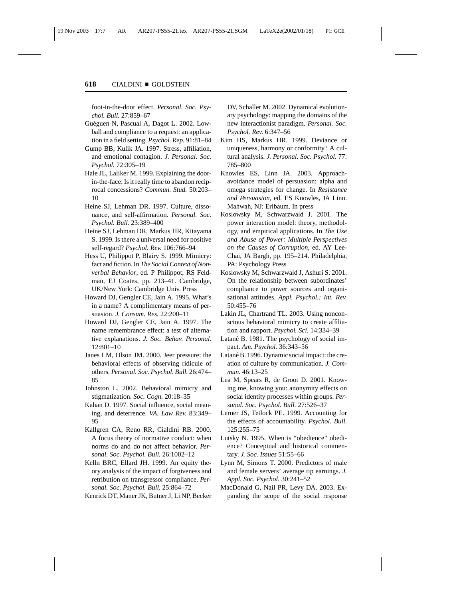foot-in-the-door effect. *Personal. Soc. Psychol. Bull.* 27:859–67

- Guéguen N, Pascual A, Dagot L. 2002. Lowball and compliance to a request: an application in a field setting. *Psychol. Rep.* 91:81–84
- Gump BB, Kulik JA. 1997. Stress, affiliation, and emotional contagion. *J. Personal. Soc. Psychol.* 72:305–19
- Hale JL, Laliker M. 1999. Explaining the doorin-the-face: Is it really time to abandon reciprocal concessions? *Commun. Stud.* 50:203– 10
- Heine SJ, Lehman DR. 1997. Culture, dissonance, and self-affirmation. *Personal. Soc. Psychol. Bull.* 23:389–400
- Heine SJ, Lehman DR, Markus HR, Kitayama S. 1999. Is there a universal need for positive self-regard? *Psychol. Rev.* 106:766–94
- Hess U, Philippot P, Blairy S. 1999. Mimicry: fact and fiction. In *The Social Context of Nonverbal Behavior*, ed. P Philippot, RS Feldman, EJ Coates, pp. 213–41. Cambridge, UK/New York: Cambridge Univ. Press
- Howard DJ, Gengler CE, Jain A. 1995. What's in a name? A complimentary means of persuasion. *J. Consum. Res.* 22:200–11
- Howard DJ, Gengler CE, Jain A. 1997. The name remembrance effect: a test of alternative explanations. *J. Soc. Behav. Personal.* 12:801–10
- Janes LM, Olson JM. 2000. Jeer pressure: the behavioral effects of observing ridicule of others. *Personal. Soc. Psychol. Bull.* 26:474– 85
- Johnston L. 2002. Behavioral mimicry and stigmatization. *Soc. Cogn.* 20:18–35
- Kahan D. 1997. Social influence, social meaning, and deterrence. *VA. Law Rev.* 83:349– 95
- Kallgren CA, Reno RR, Cialdini RB. 2000. A focus theory of normative conduct: when norms do and do not affect behavior. *Personal. Soc. Psychol. Bull.* 26:1002–12
- Kelln BRC, Ellard JH. 1999. An equity theory analysis of the impact of forgiveness and retribution on transgressor compliance. *Personal. Soc. Psychol. Bull.* 25:864–72

Kenrick DT, Maner JK, Butner J, Li NP, Becker

DV, Schaller M. 2002. Dynamical evolutionary psychology: mapping the domains of the new interactionist paradigm. *Personal. Soc. Psychol. Rev.* 6:347–56

- Kim HS, Markus HR. 1999. Deviance or uniqueness, harmony or conformity? A cultural analysis. *J. Personal. Soc. Psychol.* 77: 785–800
- Knowles ES, Linn JA. 2003. Approachavoidance model of persuasion: alpha and omega strategies for change. In *Resistance and Persuasion*, ed. ES Knowles, JA Linn. Mahwah, NJ: Erlbaum. In press
- Koslowsky M, Schwarzwald J. 2001. The power interaction model: theory, methodology, and empirical applications. In *The Use and Abuse of Power: Multiple Perspectives on the Causes of Corruption*, ed. AY Lee-Chai, JA Bargh, pp. 195–214. Philadelphia, PA: Psychology Press
- Koslowsky M, Schwarzwald J, Ashuri S. 2001. On the relationship between subordinates' compliance to power sources and organisational attitudes. *Appl. Psychol.: Int. Rev.* 50:455–76
- Lakin JL, Chartrand TL. 2003. Using nonconscious behavioral mimicry to create affiliation and rapport. *Psychol. Sci.* 14:334–39
- Latané B. 1981. The psychology of social impact. *Am. Psychol.* 36:343–56
- Latané B. 1996. Dynamic social impact: the creation of culture by communication. *J. Commun.* 46:13–25
- Lea M, Spears R, de Groot D. 2001. Knowing me, knowing you: anonymity effects on social identity processes within groups. *Personal. Soc. Psychol. Bull.* 27:526–37
- Lerner JS, Tetlock PE. 1999. Accounting for the effects of accountability. *Psychol. Bull.* 125:255–75
- Lutsky N. 1995. When is "obedience" obedience? Conceptual and historical commentary. *J. Soc. Issues* 51:55–66
- Lynn M, Simons T. 2000. Predictors of male and female servers' average tip earnings. *J. Appl. Soc. Psychol.* 30:241–52
- MacDonald G, Nail PR, Levy DA. 2003. Expanding the scope of the social response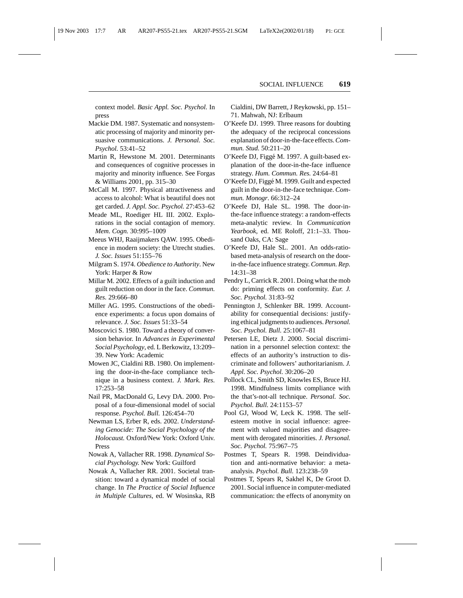context model. *Basic Appl. Soc. Psychol.* In press

- Mackie DM. 1987. Systematic and nonsystematic processing of majority and minority persuasive communications. *J. Personal. Soc. Psychol.* 53:41–52
- Martin R, Hewstone M. 2001. Determinants and consequences of cognitive processes in majority and minority influence. See Forgas & Williams 2001, pp. 315–30
- McCall M. 1997. Physical attractiveness and access to alcohol: What is beautiful does not get carded. *J. Appl. Soc. Psychol.* 27:453–62
- Meade ML, Roediger HL III. 2002. Explorations in the social contagion of memory. *Mem. Cogn.* 30:995–1009
- Meeus WHJ, Raaijmakers QAW. 1995. Obedience in modern society: the Utrecht studies. *J. Soc. Issues* 51:155–76
- Milgram S. 1974. *Obedience to Authority*. New York: Harper & Row
- Millar M. 2002. Effects of a guilt induction and guilt reduction on door in the face. *Commun. Res.* 29:666–80
- Miller AG. 1995. Constructions of the obedience experiments: a focus upon domains of relevance. *J. Soc. Issues* 51:33–54
- Moscovici S. 1980. Toward a theory of conversion behavior. In *Advances in Experimental Social Psychology*, ed. L Berkowitz, 13:209– 39. New York: Academic
- Mowen JC, Cialdini RB. 1980. On implementing the door-in-the-face compliance technique in a business context. *J. Mark. Res.* 17:253–58
- Nail PR, MacDonald G, Levy DA. 2000. Proposal of a four-dimensional model of social response. *Psychol. Bull.* 126:454–70
- Newman LS, Erber R, eds. 2002. *Understanding Genocide: The Social Psychology of the Holocaust.* Oxford/New York: Oxford Univ. Press
- Nowak A, Vallacher RR. 1998. *Dynamical Social Psychology.* New York: Guilford
- Nowak A, Vallacher RR. 2001. Societal transition: toward a dynamical model of social change. In *The Practice of Social Influence in Multiple Cultures*, ed. W Wosinska, RB

Cialdini, DW Barrett, J Reykowski, pp. 151– 71. Mahwah, NJ: Erlbaum

- O'Keefe DJ. 1999. Three reasons for doubting the adequacy of the reciprocal concessions explanation of door-in-the-face effects.*Commun. Stud.* 50:211–20
- O'Keefe DJ, Figgé M. 1997. A guilt-based explanation of the door-in-the-face influence strategy. *Hum. Commun. Res.* 24:64–81
- O'Keefe DJ, Figgé M. 1999. Guilt and expected guilt in the door-in-the-face technique. *Commun. Monogr*. 66:312–24
- O'Keefe DJ, Hale SL. 1998. The door-inthe-face influence strategy: a random-effects meta-analytic review. In *Communication Yearbook*, ed. ME Roloff, 21:1–33. Thousand Oaks, CA: Sage
- O'Keefe DJ, Hale SL. 2001. An odds-ratiobased meta-analysis of research on the doorin-the-face influence strategy. *Commun. Rep.* 14:31–38
- Pendry L, Carrick R. 2001. Doing what the mob do: priming effects on conformity. *Eur. J. Soc. Psychol.* 31:83–92
- Pennington J, Schlenker BR. 1999. Accountability for consequential decisions: justifying ethical judgments to audiences. *Personal. Soc. Psychol. Bull.* 25:1067–81
- Petersen LE, Dietz J. 2000. Social discrimination in a personnel selection context: the effects of an authority's instruction to discriminate and followers' authoritarianism. *J. Appl. Soc. Psychol.* 30:206–20
- Pollock CL, Smith SD, Knowles ES, Bruce HJ. 1998. Mindfulness limits compliance with the that's-not-all technique. *Personal. Soc. Psychol. Bull.* 24:1153–57
- Pool GJ, Wood W, Leck K. 1998. The selfesteem motive in social influence: agreement with valued majorities and disagreement with derogated minorities. *J. Personal. Soc. Psychol.* 75:967–75
- Postmes T, Spears R. 1998. Deindividuation and anti-normative behavior: a metaanalysis. *Psychol. Bull.* 123:238–59
- Postmes T, Spears R, Sakhel K, De Groot D. 2001. Social influence in computer-mediated communication: the effects of anonymity on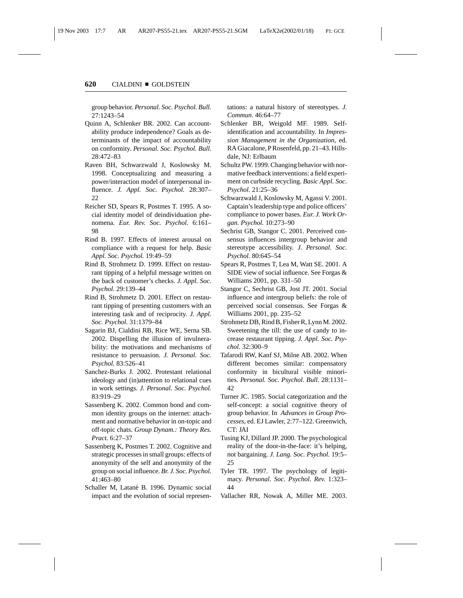group behavior. *Personal. Soc. Psychol. Bull.* 27:1243–54

- Quinn A, Schlenker BR. 2002. Can accountability produce independence? Goals as determinants of the impact of accountability on conformity. *Personal. Soc. Psychol. Bull.* 28:472–83
- Raven BH, Schwarzwald J, Koslowsky M. 1998. Conceptualizing and measuring a power/interaction model of interpersonal influence. *J. Appl. Soc. Psychol.* 28:307– 22
- Reicher SD, Spears R, Postmes T. 1995. A social identity model of deindividuation phenomena. *Eur. Rev. Soc. Psychol.* 6:161– 98
- Rind B. 1997. Effects of interest arousal on compliance with a request for help. *Basic Appl. Soc. Psychol.* 19:49–59
- Rind B, Strohmetz D. 1999. Effect on restaurant tipping of a helpful message written on the back of customer's checks. *J. Appl. Soc. Psychol.* 29:139–44
- Rind B, Strohmetz D. 2001. Effect on restaurant tipping of presenting customers with an interesting task and of reciprocity. *J. Appl. Soc. Psychol.* 31:1379–84
- Sagarin BJ, Cialdini RB, Rice WE, Serna SB. 2002. Dispelling the illusion of invulnerability: the motivations and mechanisms of resistance to persuasion. *J. Personal. Soc. Psychol.* 83:526–41
- Sanchez-Burks J. 2002. Protestant relational ideology and (in)attention to relational cues in work settings. *J. Personal. Soc. Psychol.* 83:919–29
- Sassenberg K. 2002. Common bond and common identity groups on the internet: attachment and normative behavior in on-topic and off-topic chats. *Group Dynam.: Theory Res. Pract.* 6:27–37
- Sassenberg K, Postmes T. 2002. Cognitive and strategic processes in small groups: effects of anonymity of the self and anonymity of the group on social influence. *Br. J. Soc. Psychol.* 41:463–80
- Schaller M, Latané B. 1996. Dynamic social impact and the evolution of social represen-

tations: a natural history of stereotypes. *J. Commun.* 46:64–77

- Schlenker BR, Weigold MF. 1989. Selfidentification and accountability. In *Impression Management in the Organization*, ed. RA Giacalone, P Rosenfeld, pp. 21–43. Hillsdale, NJ: Erlbaum
- Schultz PW. 1999. Changing behavior with normative feedback interventions: a field experiment on curbside recycling. *Basic Appl. Soc. Psychol.* 21:25–36
- Schwarzwald J, Koslowsky M, Agassi V. 2001. Captain's leadership type and police officers' compliance to power bases. *Eur. J. Work Organ. Psychol.* 10:273–90
- Sechrist GB, Stangor C. 2001. Perceived consensus influences intergroup behavior and stereotype accessibility. *J. Personal. Soc. Psychol.* 80:645–54
- Spears R, Postmes T, Lea M, Watt SE. 2001. A SIDE view of social influence. See Forgas & Williams 2001, pp. 331–50
- Stangor C, Sechrist GB, Jost JT. 2001. Social influence and intergroup beliefs: the role of perceived social consensus. See Forgas & Williams 2001, pp. 235–52
- Strohmetz DB, Rind B, Fisher R, Lynn M. 2002. Sweetening the till: the use of candy to increase restaurant tipping. *J. Appl. Soc. Psychol.* 32:300–9
- Tafarodi RW, Kanf SJ, Milne AB. 2002. When different becomes similar: compensatory conformity in bicultural visible minorities. *Personal. Soc. Psychol. Bull.* 28:1131– 42
- Turner JC. 1985. Social categorization and the self-concept: a social cognitive theory of group behavior. In *Advances in Group Processes*, ed. EJ Lawler, 2:77–122. Greenwich, CT: JAI
- Tusing KJ, Dillard JP. 2000. The psychological reality of the door-in-the-face: it's helping, not bargaining. *J. Lang. Soc. Psychol.* 19:5– 25
- Tyler TR. 1997. The psychology of legitimacy. *Personal. Soc. Psychol. Rev.* 1:323– 44
- Vallacher RR, Nowak A, Miller ME. 2003.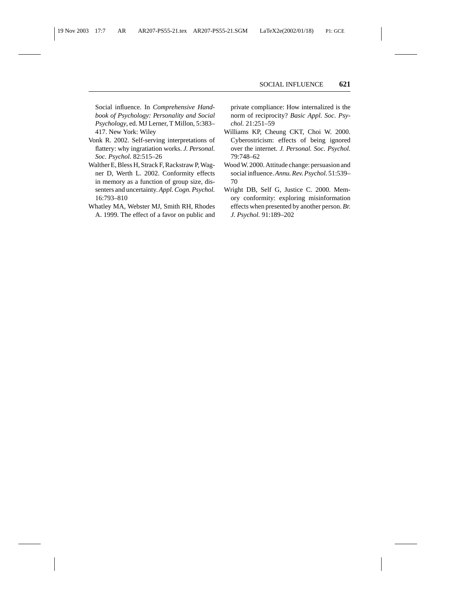Social influence. In *Comprehensive Handbook of Psychology: Personality and Social Psychology*, ed. MJ Lerner, T Millon, 5:383– 417. New York: Wiley

- Vonk R. 2002. Self-serving interpretations of flattery: why ingratiation works. *J. Personal. Soc. Psychol.* 82:515–26
- Walther E, Bless H, Strack F, Rackstraw P, Wagner D, Werth L. 2002. Conformity effects in memory as a function of group size, dissenters and uncertainty. *Appl. Cogn. Psychol.* 16:793–810
- Whatley MA, Webster MJ, Smith RH, Rhodes A. 1999. The effect of a favor on public and

private compliance: How internalized is the norm of reciprocity? *Basic Appl. Soc. Psychol.* 21:251–59

- Williams KP, Cheung CKT, Choi W. 2000. Cyberostricism: effects of being ignored over the internet. *J. Personal. Soc. Psychol.* 79:748–62
- Wood W. 2000. Attitude change: persuasion and social influence.*Annu. Rev. Psychol.* 51:539– 70
- Wright DB, Self G, Justice C. 2000. Memory conformity: exploring misinformation effects when presented by another person. *Br. J. Psychol.* 91:189–202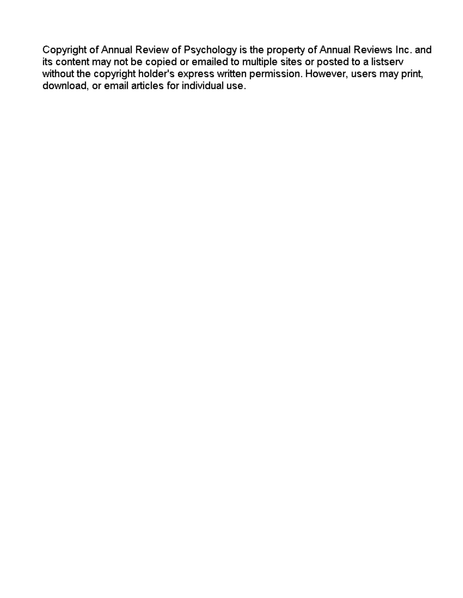Copyright of Annual Review of Psychology is the property of Annual Reviews Inc. and its content may not be copied or emailed to multiple sites or posted to a listserv without the copyright holder's express written permission. However, users may print, download, or email articles for individual use.